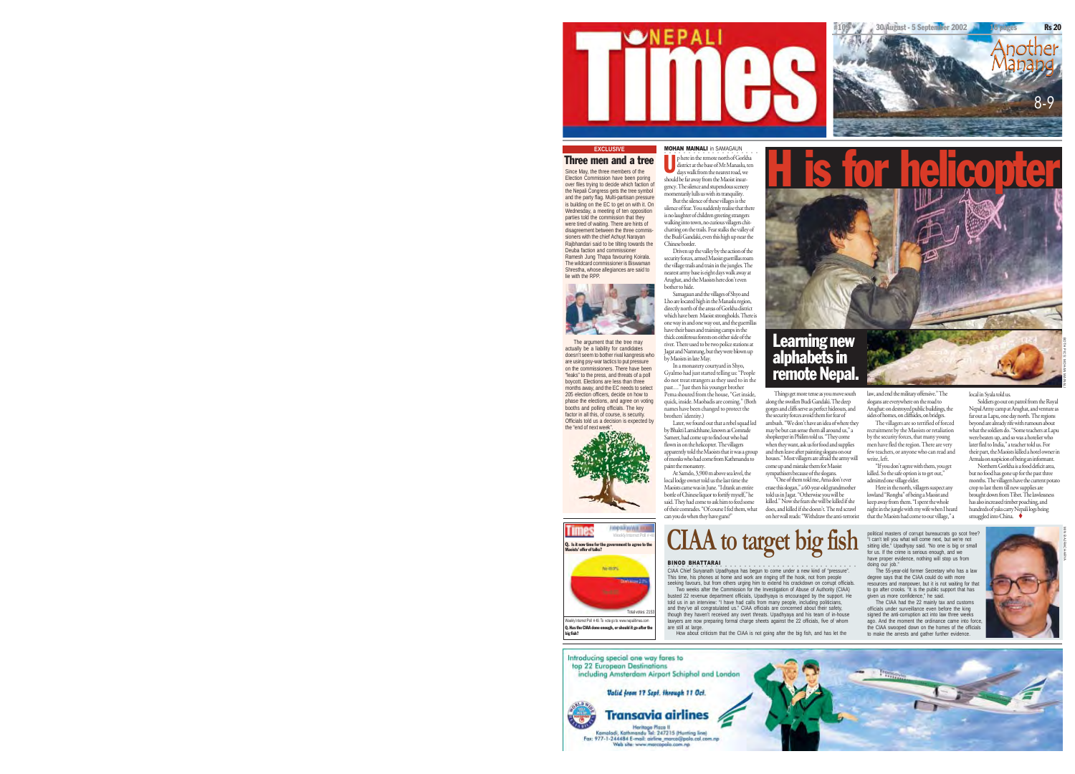

#### **MOHAN MAINALI** in SAMAGAUN . . . . p here in the remote north of Gorkha Three men and a tree

district at the base of Mt Manaslu, ten days walk from the nearest road, we should be far away from the Maoist insurgency. The silence and stupendous scenery momentarily lulls us with its tranquility. <u>U H is for helicopter</u>

But the silence of these villages is the silence of fear. You suddenly realise that ther is no laughter of children greeting strangers walking into town, no curious villagers chitchatting on the trails. Fear stalks the valley of the Budi Gandaki, even this high up near the Chinese border.

Driven up the valley by the action of the security forces, armed Maoist guerrillas roam the village trails and train in the jungles. The nearest army base is eight days walk away at Arughat, and the Maoists here don't even bother to hide.

Samagaun and the villages of Shyo and Lho are located high in the Manaslu region, directly north of the areas of Gorkha district which have been Maoist strongholds. There is one way in and one way out, and the guerrillas have their bases and training camps in the thick coniferous forests on either side of the river. There used to be two police stations at Jagat and Namrung, but they were blown up by Maoists in late May.

In a monastery courtyard in Shyo, Gyalmo had just started telling us: "People do not treat strangers as they used to in the past…" Just then his younger brother Pema shouted from the house, "Get inside, quick, inside. Maobadis are coming." (Both names have been changed to protect the brothers' identity.)

Later, we found out that a rebel squad led by Bhakti Lamichhane, known as Comrade Sameer, had come up to find out who had flown in on the helicopter. The villagers apparently told the Maoists that it was a group of monks who had come from Kathmandu to

does, and killed if she doesn't. The red scrawl on her wall reads: "Withdraw the anti-terrorist

**CIAA to target big fish** sales of compt bureaucras go scat free?<br>
Simple the Constant and the property and the property of the result free ?<br>
the case for the other is the case of the case of the case of the set of the ca

BINOD BHATTARAI .<br>CIAA Chief Suryanath Upadhyaya has begun to come under a new kind of "pressure".<br>This time, his phones at home and work are ringing off the hook, not from people<br>seeking favours, but from others urging him to extend his Two weeks after the Commission for the Investigation of Abuse of Authority (CIAA) busted 22 revenue department officials, Upadhyaya is encouraged by the support. He told us in an interview: "I have had calls from many people, including politicians, and they've all congratulated us." CIAA officials are concerned about their safety, though they haven't received any overt threats. Upadhyaya and his team of in-house lawyers are now preparing formal charge sheets against the 22 officials, five of whom are still at large. How about criticism that the CIAA is not going after the big fish, and has let the

law, and end the military offensive." The slogans are everywhere on the road to Arughat: on destroyed public buildings, the sides of homes, on cliffsides, on bridges. The villagers are so terrified of forced recruitment by the Maoists or retaliation **Boarning new alphabets in remote Nepal.**<br>Remote Nepal.

by the security forces, that many young men have fled the region. There are very few teachers, or anyone who can read and write, left.

killed. So the safe option is to get out,"

lowland "Rongba" of being a Maoist and keep away from them. "I spent the whole night in the jungle with my wife when I heard that the Maoists had come to our village," a

doing our job." The 55-year-old former Secretary who has a law degree says that the CIAA could do with more resources and manpower, but it is not waiting for that to go after crooks. "It is the public support that has given us more confidence," he said.

The CIAA had the 22 mainly tax and customs officials under surveillance even before the king signed the anti-corruption act into law three weeks ago. And the moment the ordinance came into force, the CIAA swooped down on the homes of the officials to make the arrests and gather further evidence.





The wildcard commissioner is Biswaman Shrestha, whose allegiances are said to lie with the RPP.

Since May, the three members of the Election Commission have been poring over files trying to decide which faction of the Nepali Congress gets the tree symbol and the party flag. Multi-partisan pressure is building on the EC to get on with it. On Wednesday, a meeting of ten opposition parties told the commission that they were tired of waiting. There are hints of disagreement between the three commissioners with the chief Achuyt Narayan Rajbhandari said to be tilting towards the Rejorancem said to be a Ramesh Jung Thapa favouring Koirala.

The argument that the tree may actually be a liability for candidates doesn't seem to bother rival kangresis who are using psy-war tactics to put pressure on the commissioners. There have been "leaks" to the press, and threats of a poll boycott. Elections are less than three months away, and the EC needs to select 205 election officers, decide on how to phase the elections, and agree on voting booths and polling officials. The key



нерабуунала **Times** Q. Is it now time for the government to agree to the Maoists' offer of talks?



Q. Has the CIAA done enough, or should it go after the big fish?



paint the monastery. At Samdo, 3,900 m above sea level, the local lodge owner told us the last time the Maoists came was in June. "I drank an entire bottle of Chinese liquor to fortify myself," he said. They had come to ask him to feed some of their comrades. "Of course I fed them, what can you do when they have guns?"



Things get more tense as you move south along the swollen Budi Gandaki. The deep gorges and cliffs serve as perfect hideouts, and the security forces avoid them for fear of ambush. "We don't have an idea of where they may be but can sense them all around us," a

shopkeeper in Philim told us. "They come when they want, ask us for food and supplies

"If you don't agree with them, you get

admitted one village elder. Here in the north, villagers suspect any

local in Syala told us. Soldiers go out on patrol from the Royal Nepal Army camp at Arughat, and venture as far out as Lapu, one day north. The regions beyond are already rife with rumours about what the soldiers do. "Some teachers at Lapu were beaten up, and so was a hotelier who later fled to India," a teacher told us. For

30 August - 5 September 2002 16 pages Rs 20

8-9

Another<br>Manang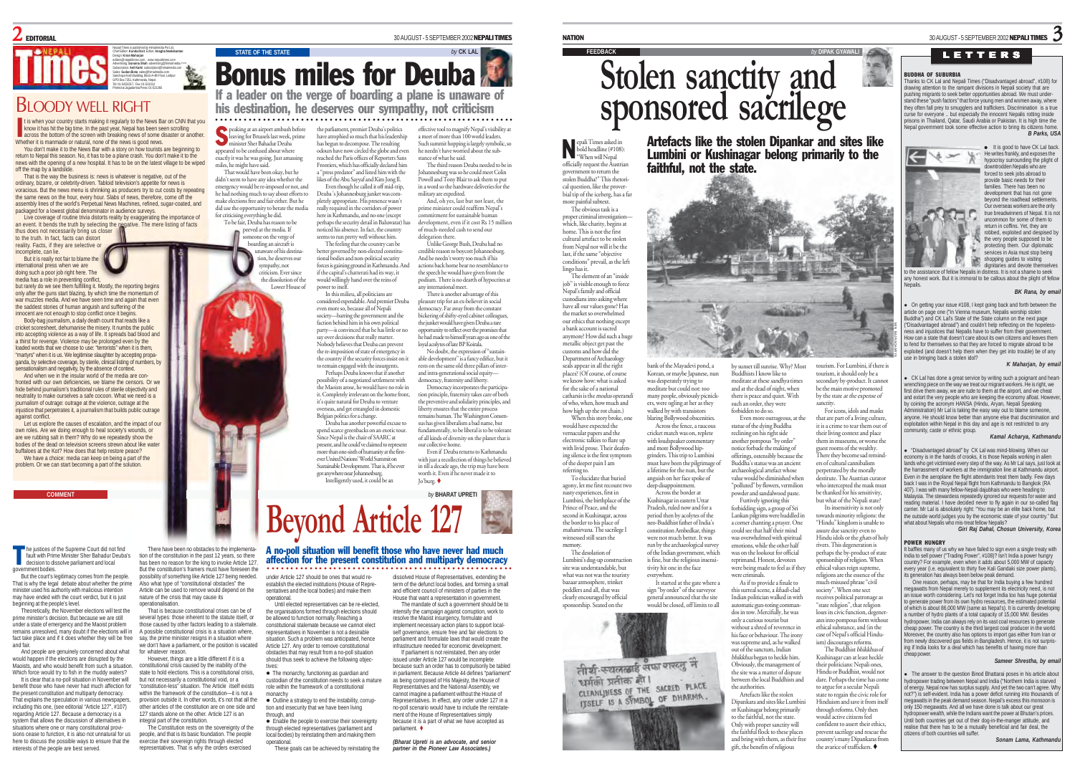

# **BI OODY WELL RIGHT**

It is when your country starts making it regularly to the News Bar on CNN that your it has hit the big time. In the past year, Nepal has been serolling across the bottom of the screen with breaking news of some disaster or t is when your country starts making it regularly to the News Bar on CNN that you know it has hit the big time. In the past year, Nepal has been seen scrolling Whether it is manmade or natural, none of the news is good news. You don't make it to the News Bar with a story on how tourists are beginning to

return to Nepal this season. No, it has to be a plane crash. You don't make it to the news with the opening of a new hospital. It has to be on the latest village to be wiped off the map by a landslide. That is the way the business is: news is whatever is negative, out of the

ordinary, bizarre, or celebrity-driven. Tabloid television's appetite for news is voracious. But the news menu is shrinking as producers try to cut costs by repeating the same news on the hour, every hour. Slabs of news, therefore, come off the assembly lines of the world's Perpetual News Machines, refined, sugar-coated, and packaged for a lowest global denominator in audience surveys. Live coverage of routine trivia distorts reality by exaggerating the importance of

an event. It bends the truth by selecting the negative. The mere listing of facts thus does not necessarily bring us closer to the truth. In fact, facts can distort

reality. Facts, if they are selective or incomplete, can lie. But it is really not fair to blame the international press when we are

doing such a poor job right here. The media has a role in preventing conflict, but rarely do we see them fulfilling it. Mostly, the reporting begins

only after the guns start blazing, by which time the momentum of war muzzles media. And we have seen time and again that even the saddest stories of human anguish and suffering of the innocent are not enough to stop conflict once it begins. Body-bag journalism, a daily death count that reads like a cricket scoresheet, dehumanise the misery. It numbs the public into accepting violence as a way of life. It spreads bad blood and a thirst for revenge. Violence may be prolonged even by the loaded words that we choose to use: "terrorists" when it is them, "martyrs" when it is us. We legitimise slaughter by accepting propaganda, by selective coverage, by sterile, clinical listing of numbers, by

sensationalism and negativity, by the absence of context. And when we in the insular world of the media are confronted with our own deficiencies, we blame the censors. Or we hide behind journalism's traditional rules of sterile objectivity and neutrality to make ourselves a safe cocoon. What we need is a journalism of outrage: outrage at the violence, outrage at the injustice that perpetrates it, a journalism that builds public outrage against conflict.

Let us explore the causes of escalation, and the impact of our own roles. Are we doing enough to heal society's wounds, or are we rubbing salt in them? Why do we repeatedly show the bodies of the dead on television screens strewn about like water buffaloes at the Kot? How does that help restore peace? We have a choice: media can keep on being a part of the problem. Or we can start becoming a part of the solution.

he justices of the Supreme Court did not find fault with Prime Minister Sher Bahadur Deuba's decision to dissolve parliament and local government bodies. T

But the court's legitimacy comes from the people. That is why the legal debate about whether the prime minister used his authority with malicious intent may have ended with the court verdict, but it is just beginning at the people's level.

Theoretically, the November elections will test the prime minister's decision. But because we are still under a state of emergency and the Maoist problem remains unresolved, many doubt if the elections will in fact take place and if it does whether they will be free and fair.

And people are genuinely concerned about what would happen if the elections are disrupted by the Maoists, and who would benefit from such a situation. Which force would try to fish in the muddy waters?

It is clear that a no-poll situation in November will benefit those who have never had much affection for the present constitution and multiparty democracy. That explains the speculation in various newspapers. including this one, (see editorial "Article 127", #107) regarding Article 127. Because a democracy is a system that allows the discussion of alternatives in situations where one or many constitutional provisions cease to function, it is also not unnatural for us here to discuss the possible ways to ensure that the interests of the people are best served.

There have been no obstacles to the implementation of the constitution in the past 12 years, so there has been no reason for the king to invoke Article 127. But the constitution's framers must have foreseen the possibility of something like Article 127 being needed. Also what type of "constitutional obstacles" the Article can be used to remove would depend on the

nature of the crisis that may cause its operationalisation. That is because constitutional crises can be of several types: those inherent to the statute itself, or those caused by other factors leading to a stalemate. A possible constitutional crisis is a situation where, say, the prime minister resigns in a situation where we don't have a parliament, or the position is vacated

for whatever reason. However, things are a little different if it is a constitutional crisis caused by the inability of the state to hold elections. This is a constitutional crisis, but not necessarily a constitutional void, or a "constitution-less" situation. The Article itself exists within the framework of the constitution—it is not a provision outside it. In other words, it's not that all the other articles of the constitution are on one side and 127 stands alone on the other. Article 127 is an integral part of the constitution.

The Constitution rests on the sovereignty of the people, and that is its basic foundation. The people exercise their sovereign rights through elected representatives. That is why the orders exercised

30 AUGUST - 5 SEPTEMBER 2002NEPALI TIMES

# **STATE OF THE STATE by** CK LAL If a leader on the verge of boarding a plane is unaware of Bonus miles for Deuba

his destination, he deserves our sympathy, not criticism ○○○○○○○○○○○○○○○○○○○○○○○○○○○○ ○○○○○○○○○○○○○○○○○○○○○○○○○○○○○○○○○○○

peaking at an airport ambush before leaving for Brussels last week, prime ister Sher Bahadur Deuba appeared to be confused about where exactly it was he was going. Just amassing miles, he might have said. the parliament, premier Deuba's politics have atrophied so much that his leadership has begun to decompose. The resulting odours have now circled the globe and even reached the Paris offices of Reporters Sans Frontiers, which has officially declared him a "press predator" and listed him with the<br>likes of the Abu Savvaf and Kim Jone II

That would have been okay, but he didn't seem to have any idea whether the emergency would be re-imposed or not, and he had nothing much to say about efforts to make elections free and fair either. But he did use the opportunity to berate the media for criticising everything he did. To be fair, Deuba has reason to be likes of the Abu Sayyaf and Kim Jong Il. Even though he called it off mid-trip, Deuba 's Johannesburg junket was completely appropriate. His presence wasn't here in Kathmandu, and no one (except perhaps the security detail in Baluwatar) has

S

peeved at the media. If meone on the verge of boarding an aircraft is unaware of his destination, he deserves our noticed his absence. In fact, the country seems to run pretty well without him. The feeling that the country can be

sympathy, not criticism. Ever since the dissolution of the Lower House of better governed by non-elected constitu-tional bodies and non-political security forces is gaining ground in Kathmandu. And if the capital's chatterati had its way, it would willingly hand over the reins of power to itself. In this milieu, all politicians are

considered expendable. And premier Deuba even more so, because all of Nepali society—barring the government and the faction behind him in his own political party—is convinced that he has little or no say over decisions that really matter. Nobody believes that Deuba can prevent the re-imposition of state of emergency in the country if the security forces insist on it to remain engaged with the insurgents. Perhaps Deuba knows that if another

red in the corridors of power

possibility of a negotiated settlement with the Maoists arose, he would have no role in it. Completely irrelevant on the home front, it's quite natural for Deuba to venture overseas, and get entangled in domestic Belgian politics for a change. Deuba has another powerful excuse to

spend scarce greenbacks on an exotic tour. Since Nepal is the chair of SAARC at present, and he could've claimed to represent more than one-sixth of humanity at the firstever United Nations' World Summit on Sustainable Development. That is, if he ever got anywhere near Johannesburg. Intelligently used, it could be an



#### ○○○○○○○○○○○○○○○○○○○○○ ○○○○○○○○○○○○○○○○○○○○○○○○○○○○○○○ A no-poll situation will benefit those who have never had much affection for the present constitution and multiparty democracy

parliament.

under Article 127 should be ones that would reestablish the elected institutions (House of Representatives and the local bodies) and make them

operational. Until elected representatives can be re-elected, the organisations formed through elections should be allowed to function normally. Reaching a constitutional stalemate because we cannot elect representatives in November is not a desirable situation. Such a problem was anticipated, hence Article 127. Any order to remove constitutional obstacles that may result from a no-poll situation should thus seek to achieve the following objectives:

• The monarchy, functioning as guardian and custodian of the constitution needs to seek a mature role within the framework of a constitutional monarchy  $\bullet$  Outline a strategy to end the instability, corrup-

tion and insecurity that we have been living through, and **•** Enable the people to exercise their sovereignty

through elected representatives (parliament and local bodies) by reinstating them and making them operational.

These goals can be achieved by reinstating the

effective tool to magnify Nepal's visibility at a meet of more than 100 world leade Such summit hopping is largely symbolic, so he needn't have worried about the substance of what he said.

The third reason Deuba needed to be in Johannesburg was so he could meet Colin Powell and Tony Blair to ask them to put in a word so the hardware deliveries for the military are expedited.

And, oh yes, last but not least, the prime minister could reaffirm Nepal's mmitment for sustainable human development, even if it cost Rs 15 million of much-needed cash to send our delegation there.

Unlike George Bush, Deuba had no credible reason to boycott Johannesburg. And he needn't worry too much if his actions back home bear no resemblance to the speech he would have given from the podium. There is no dearth of hypocrites at

any international meet. There is another advantage of this pleasure trip for an ex-believer in social democracy. Far away from the constant bickering of shifty-eyed cabinet colleagues, the junket would have given Deuba a rare opportunity to reflect over the promises that he had made to himself years ago as one of the loyal acolytes of late BP Koirala.

No doubt, the expression of "sustainable development" is a fancy edifice, but it rests on the same old three pillars of interand intra-generational social equity democracy, fraternity and liberty.

Democracy incorporates the participation principle, fraternity takes care of both the preventive and solidarity principles, and liberty ensures that the entire process remains human. The Washington Consensus has given liberalism a bad name, but fundamentally, to be liberal is to be tolerant

of all kinds of diversity on the planet that is our collective home. Even if Deuba returns to Kathmandu with just a recollection of things he believed in till a decade ago, the trip may have been

worth it. Even if he never made it to Jo'burg.

dissolved House of Representatives, extending the term of the defunct local bodies, and forming a small and efficient council of ministers of parties in the House that want a representation in government. The mandate of such a government should be to intensify the campaign against corruption, work to resolve the Maoist insurgency, formulate and implement necessary action plans to support localself governance, ensure free and fair elections to parliament and formulate laws that would create the infrastructure needed for economic development. If parliament is not reinstated, then any order issued under Article 127 would be incomplete because such an order has to compulsorily be tabled in parliament. Because Article 44 defines "parliament" as being composed of His Majesty, the House of Representatives and the National Assembly, we cannot imagine a parliament without the House of Representatives. In effect, any order under 127 in a no-poll scenario would have to include the reinstatement of the House of Representatives simply because it is a part of what we have accepted as

*(Bharat Upreti is an advocate, and senior partner in the Pioneer Law Associates.)*

epali Times asked in bold headline (#108): repali Times asked<br>bold headline (#1)<br>"When will Nepal officially request the Austrian government to return the stolen Buddha?" This rhetorical question, like the prover-

bial tip of the iceberg, has a far more painful subtext. The obvious task is a proper criminal investigation— which, like charity, begins at home. This is not the first cultural artefact to be stolen from Nepal nor will it be the

last, if the same "objective conditions" prevail, as the left lingo has it. The element of an "inside job" is visible enough to force Nepal's family and official custodians into asking where have all our values gone? Has the market so overwhelmed our ethics that nothing except a bank account is sacred anymore? How did such a huge metallic object get past the customs and how did the Department of Archaeology seals appear in all the right

referring to.

memory.

places? (Of course, of course we know how: what is asked for the sake of a national catharsis is the modus operandi of who, when, how much and how high up the rot chain.) When this story broke, one bank of the Mayadevi pond, a Korean, or maybe Japanese, nun was desperately trying to meditate but could not: too many people, obviously picnickers, were ogling at her as they walked by with transistors blaring Bollywood obscenities.

would have expected the vernacular papers and the electronic talkies to flare up with livid prose. Their deafening silence is the first symptom of the deeper pain I am To elucidate that buried agony, let me first recount two Across the fence, a raucous cricket match was on, replete with loudspeaker commentary and more Bollywood hipgrinders. This trip to Lumbini must have been the pilgrimage of a lifetime for the nun, but the anguish on her face spoke of

nasty experiences, first in Lumbini, the birthplace of the Prince of Peace, and the second in Kushinagar, across the border to his place of mahanirvana. The sacrilege I witnessed still sears the deep disappointment. Across the border at Kushinagar in eastern Uttar Pradesh, ruled now and for a period then by acolytes of the neo-Buddhist father of India's constitution Ambedkar, things were not much better. It was run by the archaeological survey

The desolation of Lumbini's dug-up construction site was understandable, but what was not was the touristy bazaar atmosphere, trinket of the Indian government, which is fine, but the religious insensitivity hit one in the face everywhere. It started at the gate where a

peddlers and all, that was clearly encouraged by official sign "by order" of the surveyor general announced that the site would be closed, off limits to all



# **FEEDBACK** *by* **DIPAK GYAWALI**

# **Stolen sanctity and sponsored sacrilege**

Artefacts like the stolen Dipankar and sites like Lumbini or Kushinagar belong primarily to the faithful, not the state.

NATION 30 AUGUST - 5 SEPTEMBER 2002 NEPALI TIMES  $\,$  30 AUGUST - 5 SEPTEMBER 2002 NEPALI TIMES  $\,$  30 AUGUST - 5 SEPTEMBER 2002 NEPALI TIMES  $\,$ 

by sunset till sunrise. Why? Most Buddhists I know like to meditate at these sandhya times and at the dead of night, when there is peace and quiet. With such an order, they were be the main motive promoted by the state at the expense of sanctity.

forbidden to do so. Even more outrageous, at the statue of the dying Buddha reclining on his right side another pompous "by order" notice forbade the making of offerings, ostensibly because the Buddha's statue was an ancient archaeological artefact whose value would be diminished when "polluted" by flowers, vermilion powder and sandalwood paste. Furtively ignoring this forbidding sign, a group of Sri Lankan pilgrims were huddled in a corner chanting a prayer. One could see that half their mind was overwhelmed with spiritual emotions, while the other half was on the lookout for official For icons, idols and masks that are part of a living culture, it is a crime to tear them out of their living context and place them in museums, or worse the guest rooms of the wealthy. There they become sad reminders of cultural cannibalism perpetrated by the morally destitute. The Austrian curator who intercepted the mask must be thanked for his sensitivity, but what of the Nepali state Its insensitivity is not only towards minority religions: the "Hindu" kingdom is unable to assure due sanctity even to Hindu idols or the *ghats* of holy rivers. This degeneration is perhaps the by-product of state sponsorship of religion. When

reprimand. Honest, devotees were being made to feel as if they were criminals. As if to provide a finale to this surreal scene, a khadi-clad Indian politician walked in with automatic gun-toting comman-dos in tow. Mercifully, he was ethical values reign supreme, religions are the essence of the much-misused phrase "civil society". When one sect receives political patronage a "state religion", that religion

only a curious tourist but without a shred of reverence in his face or behaviour. The irony was supreme and, as he walked out of the sanctum, Indian bhikkhus began to heckle him. Obviously, the management of the site was a matter of dispute between the local Buddhists and the authorities. Artefacts like the stolen Dipankara and sites like Lumbini loses its civic function, degenerates into pompous form without ethical substance, and (in the case of Nepal's official Hinduism) discourages reforms. The Buddhist bhikkhus of Kushinagar can at least heckle their politicians: Nepali ones, Hindu or Buddhist, would not dare. Perhaps the time has come to argue for a secular Nepali state to regain the civic role for Hinduism and save it from itself

or Kushinagar belong primarily to the faithful, not the state. Only with proper sanctity will the faithful flock to these places and bring with them, as their free <sup>g</sup>ift, the benefits of religious through reforms. Only then would active citizens feel confident to assert their ethics prevent sacrilege and rescue the country's many Dipankaras from the avarice of traffickers.



downtrodden Nepalis who are forced to seek jobs abroad to provide basic needs for their families. There has been no development that has not gone beyond the roadhead settlements. Our overseas workers are the only true breadwinners of Nepal. It is not uncommon for some of them to return in coffins. Yet, they are robbed, exploited and despised by the very people supposed to be protecting them. Our diplomatic services in Asia must stop being 窗 shopping guides to visiting dignitaries and devote themselve

to the assistance of fellow Nepalis in distress. It is not a shame to seek any honest work. But it is immoral to be callous about the plight of fellow

#### *BK Rana, by email*

On getting your issue #108, I kept going back and forth between the article on page one ("In Vienna museum, Nepalis worship stolen Buddha") and CK Lal's State of the State column on the next page ("Disadvantaged abroad") and couldn't help reflecting on the hopelessness and injustices that Nepalis have to suffer from their government. How can a state that doesn't care about its own citizens and leaves them to fend for themselves so that they are forced to migrate abroad to be exploited (and doesn't help them when they get into trouble) be of any use in bringing back a stolen idol? *K Maharjan, by email*

CK Lal has done a great service by writing such a poignant and heartwrenching piece on the way we treat our migrant workers. He is right, we first drive them away, we are rude to them at the airport, and we cheat and extort the very people who are keeping the economy afloat. However, by coining the acronym HANSA (Hindu, Aryan, Nepali Speaking Administration) Mr Lal is taking the easy way out to blame someone anyone. He should know better than anyone else that discrimination and exploitation within Nepal in this day and age is not restricted to any anon ware responsed to the

#### *Kamal Acharya, Kathmandu*

<sup>z</sup>"Disadvantaged abroad" by CK Lal was mind-blowing. When our economy is in the hands of crooks, it is those Nepalis working in alien lands who get victimised every step of the way. As Mr Lal says, just look at the harrassment of workers at the immigration line at Kathmandu airport. Even in the aeroplane the flight attendants treat them badly. Few days back I was in the Royal Nepal flight from Kathmandu to Bangkok (RA 407). I was with many fellow-Nepali dajubhais who were heading to Malaysia. The stewardess repeatedly ignored our requests for water and reading material. I have decided never to fly again in our so-called flag carrier. Mr Lal is absolutely right: "You may be an elite back home, but the outside world judges you by the economic state of your country." But what about Nepalis who mis-treat fellow Nepalis?

*Giri Raj Dahal, Chosun University, Korea*

#### POWER HUNGRY

It baffles many of us why we have failed to sign even a single treaty with India to sell power ("Trading Power", #108)? Isn't India a power hungry country? For example, even when it adds about 5,000 MW of capacity every year (i.e. equivalent to thirty five Kali Gandaki size power plants), its generation has always been below peak demand.

One reason, perhaps, may be that for India buying a few hundred megawatts from Nepal merely to supplement its electricity need, is not an issue worth considering. Let's not forget India too has huge potential to generate power from its own hydro resources, the estimated potential of which is about 86,000 MW (same as Nepal's). It is currently developing a number of hydro plants of a total capacity of 15,000 MW. Besides hydropower, India can always rely on its vast coal resources to generate cheap power. The country is the third largest coal producer in the world. Moreover, the country also has options to import gas either from Iran or from newly discovered gas fields in Bangladesh. Hence, it is not surprising if India looks for a deal which has benefits of having more than cheap power.

#### *Sameer Shrestha, by email*

The answer to the question Binod Bhattarai poses in his article about hydropower trading between Nepal and India ("Northern India is starved of energy. Nepal now has surplus supply. And yet the two can't agree. Why not?") is self-evident. India has a power deficit running into thousands of megawatts in the peak demand season. Nepal's excess this monsoon is only 150 megawatts. And all we have done is talk about our great hydropower wealth, while the Indians want the power at Bhutan's prices. Until both countries get out of their dog-in-the-manger attitude, and realise that there has to be a mutually beneficial and fair deal, the citizens of both countries will suffer.



# LETTERS

#### BUDDHA OF SUBURBIA

Thanks to CK Lal and Nepali Times ("Disadvantaged abroad", #108) for drawing attention to the rampant divisions in Nepali society that are *B Parks, USA* • It is good to have CK Lal back

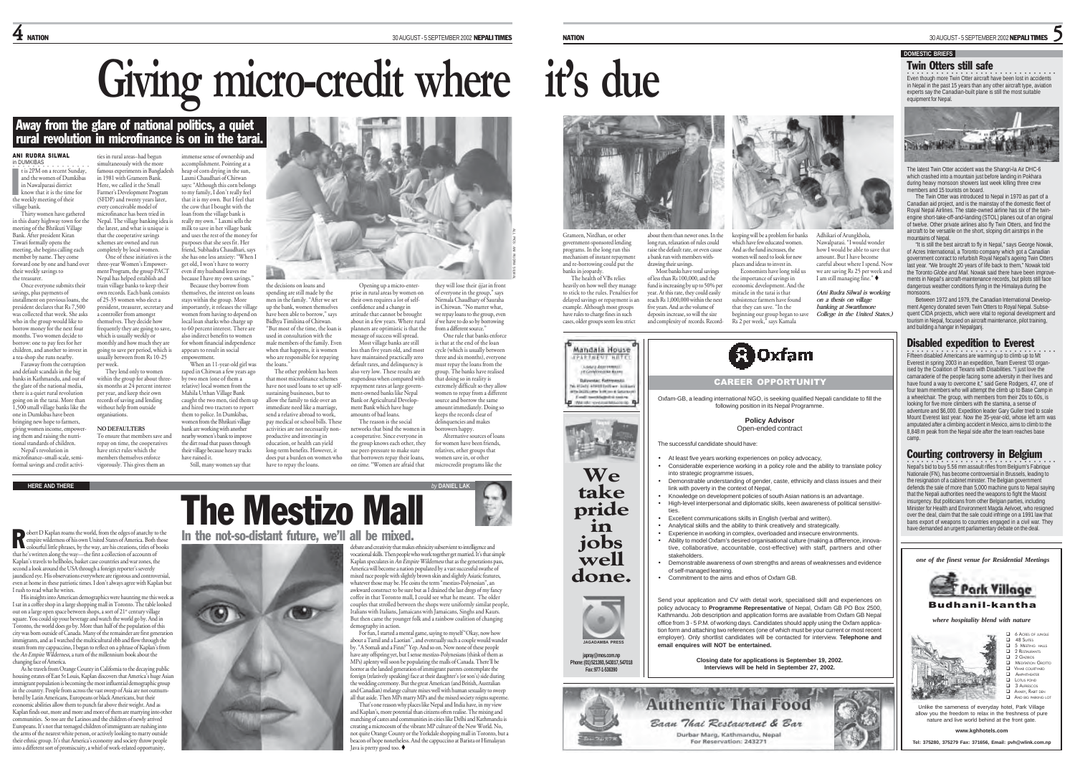# **Giving micro-credit where it's due** Giving micro-credit where it's due<br>
and the state of the state of the state of the state of the state of the state of the state of the state of the state of the state of the state of the state of the state of the state of

# ties in rural areas–had begun

in 1981 with Grameen Bank Here, we called it the Small

every conceivable model of

own records. Each bank consists of 25-35 women who elect a

a controller from amongst themselves. They decide how frequently they are going to save, which is usually weekly or

per week.

organisations.

#### ANI RUDRA SILWAL in DUMKIBAS ........ t is 2PM on a recent Sunday,

and the women of Dumkibas in Nawalparasi district t is 2PM on a recent Sunda<br>and the women of Dumkib<br>in Nawalparasi district<br>know that it is the time for the weekly meeting of their village bank. Thirty women have gathered in this dusty highway town for the meeting of the Bhrikuti Village

meeung or uit burnsuit + ....<br>Bank. After president Kiran Tiwari formally opens the meeting, she begins calling each member by name. They come forward one by one and hand over their weekly savings to the treasurer. Once everyone submits their the latest, and what is unique is that the cooperative savings schemes are owned and run completely by local women. three-year Women's Empower ment Program, the group PACT Nepal has helped establish and train village banks to keep their

savings, plus payments of installment on previous loans, the president declares that Rs 7,500 was collected that week. She asks who in the group would like to borrow money for the next four months. Two women decide to borrow: one to pay fees for her children, and another to invest in a tea-shop she runs nearby. Faraway from the corruption

and default scandals in the big banks in Kathmandu, and out of the glare of the national media, there is a quiet rural revolution going on in the tarai. More than 1,500 small village banks like the one in Dumkibas have been bringing new hope to farmers,

giving women income, empowering them and raising the nutri**the main standards** of children. **NO DEFAULTERS**

Nepal's revolution in microfinance–small-scale, semiformal savings and credit activi-

**HERE AND THERE** *by* **DANIEL LAK**

obert D Kaplan roams the world, from the edges of anarchy to the empire wilderness of his own United States of America. Both those colourful little phrases, by the way, are his creations, titles of books that he's written along the way—the first a collection of accounts of Kaplan's travels to hellholes, basket case countries and war zones, the second a look around the USA through a foreign reporter's severely jaundiced eye. His observations everywhere are rigorous and controversial, even at home in these patriotic times. I don't always agree with Kaplan but I rush to read what he writes. R

His insights into American demographics were haunting me this week as I sat in a coffee shop in a large shopping mall in Toronto. The table looked<br>out on a large open space between shops, a sort of 21" century village square. You could sip your beverage and watch the world go by. And in Toronto, the world does go by. More than half of the population of this city was born outside of Canada. Many of the remainder are first generation immigrants, and as I watched the multicultural ebb and flow through the steam from my cappuccino, I began to reflect on a phrase of Kaplan's from the An Empire Wilderness, a turn of the millennium book about the

changing face of America. As he travels from Orange County in California to the decaying public housing estates of East St Louis, Kaplan discovers that America's huge Asian immigrant population is becoming the most influential demographic group in the country. People from across the vast sweep of Asia are not outnumbered by Latin Americans, Europeans or black Americans, but their economic abilities allow them to punch far above their weight. And as

Kaplan finds out, more and more and more of them are marrying into other nunities. So too are the Latinos and the children of newly arrived Europeans. It's not that teenaged children of immigrants are rushing into the arms of the nearest white person, or actively looking to marry outside their ethnic group. It's that America's economy and society throw people into a different sort of promiscuity, a whirl of work-related opportunity,

simultaneously with the more famous experiments in Bangladesh Farmer's Development Program (SFDP) and twenty years later, microfinance has been tried in Nepal. The village banking idea is One of these initiatives is the

president, treasurer, secretary and

monthly and how much they are going to save per period, which is usually between from Rs 10-25 They lend only to women within the group for about three six months at 24 percent interest per year, and keep their own records of saving and lending without help from outside To ensure that members save and

repay on time, the cooperatives have strict rules which the members themselves enforce<br>vigorously. This gives them an



about them than newer ones. In the long run, relaxation of rules could rg.com, community of rate.<br>ise the default rate, or even cause a bank run with members withdrawing their savings. Most banks have total savings

of less than Rs 100,000, and the fund is increasing by up to 50% per year. At this rate, they could easily reach Rs 1,000,000 within the next five years. And as the volume of deposits increase, so will the size and complexity of records. Record-







**pride in**

**jobs well done.**



**japray@mos.com.np Phone: (01) 521393, 543017, 547018 Fax: 977-1-536390**





which have few educated women. And as the fund increases, the women will need to look for new places and ideas to invest in. Economists have long told us

keeping will be a problem for bank Adhikai of Antangkola,<br>
hear a bank and halo a bank and halo and halo and halo are the second to the and more than discussed by the second<br>
And show from the second more second to be a s

Nationale (FN), has become controversial in Brussels, leading to the resignation of a cabinet minister. The Belgian government defends the sale of more than 5,000 machine guns to Nepal saying that the Nepali authorities need the weapons to fight the Maoist insurgency. But politicians from other Belgian parties, including Minister for Health and Environment Magda Aelvoet, who resigned over the deal, claim that the sale could infringe on a 1991 law that bans export of weapons to countries engaged in a civil war. They have demanded an urgent parliamentary debate on the deal.

*one of the finest venue for Residential Meetings*



*where hospitality blend with nature*



**www.kghhotels.com**

 $\bf 4$  NATION 30 AUGUST - 5 SEPTEMBER 2002 NEPALI TIMES NATION NATION 30 AUGUST - 5 SEPTEMBER 2002 NEPALI TIMES 30 AUGUST - 5 SEPTEMBER 2002 NEPALITIMES

#### **DOMESTIC BRIEFS**



miracle in the tarai is that subsistence farmers have found that they can save. "In the

the importance of savings in economic development. And the

Oxfam-GB, a leading international NGO, is seeking qualified Nepali candidate to fill the following position in its Nepal Programme. **Policy Advisor** Open-ended contract

CAREER OPPORTUNITY

• Considerable experience working in a policy role and the ability to translate policy

• Demonstrable understanding of gender, caste, ethnicity and class issues and their

• Demonstrable awareness of own strengths and areas of weaknesses and evidence

Send your application and CV with detail work, specialised skill and experiences on policy advocacy to **Programme Representative** of Nepal, Oxfam GB PO Box 2500, Kathmandu. Job description and application forms are available from Oxfam GB Nepal office from 3 - 5 P.M. of working days. Candidates should apply using the Oxfam application form and attaching two references (one of which must be your current or most recent employer). Only shortlist candidates will be contacted for interview. **Telephone and**

> **Closing date for applications is September 19, 2002. Interviews will be held in September 27, 2002.**

• Knowledge on development policies of south Asian nations is an advantage. • High-level interpersonal and diplomatic skills, keen awareness of political sensitivi-

At least five years working experiences on policy advocacy,

ties. • Excellent communications skills in English (verbal and written). • Analytical skills and the ability to think creatively and strategically. • Experience in working in complex, overloaded and insecure environments<br>• Ability to model Oxfam's desired organisational culture (making a difference • Ability to model Oxfam's desired organisational culture (making a difference, innovative, collaborative, accountable, cost-effective) with staff, partners and other

• Commitment to the aims and ethos of Oxfam GB.

The successful candidate should have:

into strategic programme issues

stakeholders.

of self-managed learning.

**email enquires will NOT be entertained.**

For Reservation: 243271

link with poverty in the context of Nepal,

beginning our group began to save<br>Rs 2 per week," says Kamala





# The Mestizo Mall debate and creativity that makes ethnicity subservient to intelligence and In the not-so-distant future, we'll all be mixed.

vocational skills. Then people who work together get married. It's that simple Kaplan speculates in An Empire Wilderness that as the generations pass, America will become a nation populated by a vast successful swathe of mixed race people with slightly brown skin and slightly Asiatic features, whatever those may be. He coins the term "mestizo-Polynesian", an awkward construct to be sure but as I drained the last dregs of my fancy coffee in that Toronto mall, I could see what he meant. The older couples that strolled between the shops were uniformly similar people, Italians with Italians, Jamaicans with Jamaicans, Singhs and Kaurs. demography in action.

But then came the younger folk and a rainbow coalition of changing For fun, I started a mental game, saying to myself "Okay, now how about a Tamil and a Laotian", and eventually such a couple would wande by. "A Somali and a Finn?" Yep. And so on. Now none of these people have any offspring yet, but I sense mestizo-Polynesians (think of them as MPs) aplenty will soon be populating the malls of Canada. There'll be

horror as the landed generation of immigrant parents contemplate the foreign (relatively speaking) face at their daughter's (or son's) side during the wedding ceremony. But the great American (and British, Australian and Canadian) melange culture mixes well with human sexuality to sweep all that aside. Then MPs marry MPs and the mixed society reigns supreme

That's one reason why places like Nepal and India have, in my view and Kaplan's, more potential than citizens often realise. The mixing and matching of castes and communities in cities like Delhi and Kathmandu is creating a microcosm of the vibrant MP culture of the New World. No, not quite Orange County or the Yorkdale shopping mall in Toronto, but a beacon of hope nonetheless. And the cappuccino at Barista or Himalayan Java is pretty good too.

ALL PICS: ANI RUDRA SILWAL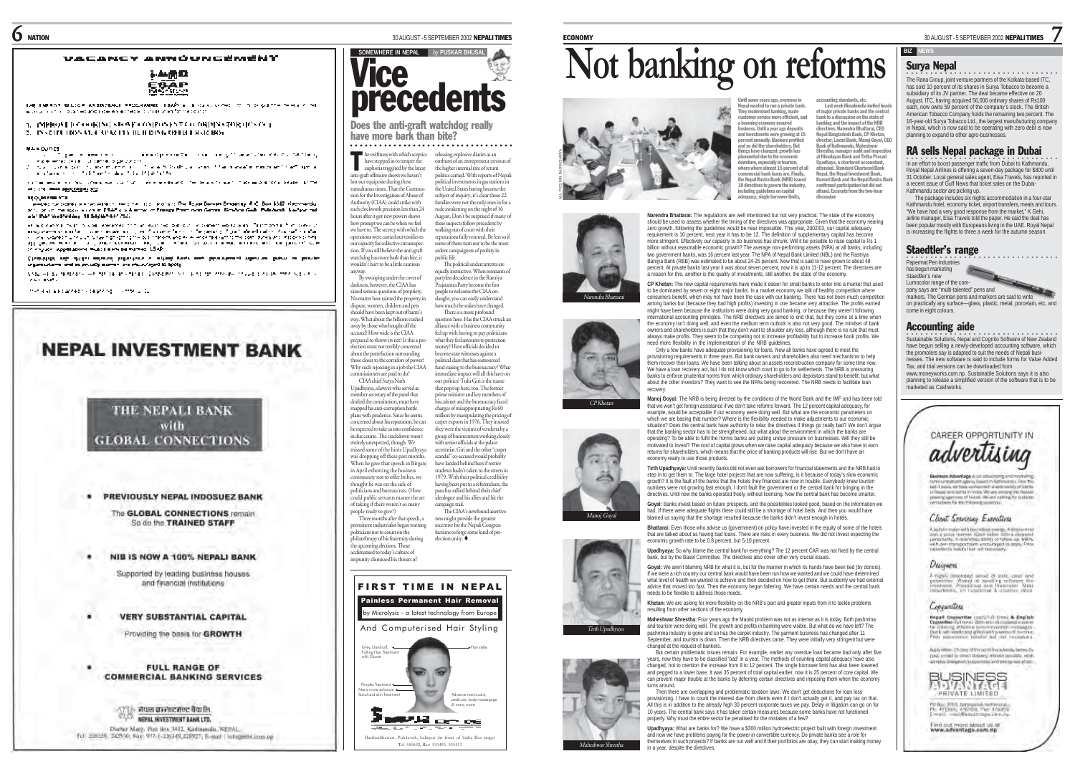#### VACANCY ANNOUNGEMENT



the thermal station experience reducement about a large convention in properties were to .<br>A service est de la component de la vienne de la component de la component

1. IMPROVED COOKING STOLEN COUPONENT CO ORDEN CROK (ICN OC). 2. INVESTIGATION CONTRACTOR BUT DING ON HER RECO

ke Kontrol († 1811)<br>1906 - John Stort, filosof en bandon († 1838)<br>1908 - Maria Stort, filosof en bandon († 1828)<br>18. julian - John Dollard, filosof de doğumlar

cante experimento de la caractería de construir en el característica de la característica de la característica of the company and the com-

#### **TO HOUSE**

website to consult the world that the line is not to the Reyn Decembrance # C. Box 1517 Keymenda , or or the spot store of PLD policiens or Freegy Premises General Resident Call: Published Ladyst and and the methods in depletion that

et als successions de la seguente de la contradició de la ciutat de la seguenta de la companya de la consider<br>1930 : el construction de la companya de la companya de la companya de la companya de la conseguenta de la co<br>20

(processe) and means accord processe in mighty facts and development agentum pates in private<br>segmentary and expressive are in the original is less.

SINGLET DE NERVONE EN 2010 DE RICHTING (DESSIENT N.C. ENGLISCHER PROFESSION) CONFIDENTIAL . . . . . . <del>.</del>

mention and answers completely in complete for

٠

# **NEPAL INVESTMENT BANK**

# THE NEPALI BANK with **GLOBAL CONNECTIONS**

**• PREVIOUSLY NEPAL INDOSUEZ BANK** 

The GLOBAL CONNECTIONS remain So do the TRAINED STAFF

#### NIB IS NOW A 100% NEPALI BANK

Supported by leading business houses. and financial institutions

#### ٠ **VERY SUBSTANTIAL CAPITAL**

Providing the basis for GROWTH

#### **FULL RANGE OF COMMERCIAL BANKING SERVICES**

<u>ਾ ਵਿੱਚ ਜੋਧਾਰ ਡਾਜੇਕਟ ਜੇਕਟ ਬੈਂਕਸੀਰ.</u> 改成 **NEPAL INVESTMENT BANK LTD.** 

Durbar Marg. Post Box 3412. Kadımanda, NEPAL. Tel: 238229 242530; Fax: 977-1-226349,228927; E-skill | info@mbl.com.up



# **precedents SOMEWHERE IN NEPAL** *by* **PUSKAR BHUSAL**

#### Does the anti-graft watchdog really have more hark than bite? ○○○○ ○○○○○○○○○○○○○○○○○○○○○○○○○○○○○○

he swiftness with which sceptics releasing explosive diaries as an have stepped in to temper the outburst of an entrepreneur env<br>
euphoria triggered by the latest the higher internal rate of retur have stepped in to temper the euphoria triggered by the latest anti-graft offensive shows we haven't lost our equipoise during these tumpouse utining these<br>ous times. That the Commis sion for the Investigation of Abuse of Authority (CIAA) could strike with such clockwork precision less than 24 hours after it got new powers shows how prompt we can be when we feel we have to. The secrecy with which the operations were carried out testifies to our capacity for collective circumspection. If you still believe the anti-graft watchdog has more bark than bite, it wouldn't hurt to be a little cautious outburst of an entrepreneur envious of the higher internal rate of return politics carried. With reports of Nepali political investments in gas stations in pointed investments in gas stations<br>the United States having become the subject of inquiry, it's clear those 22 families were not the only ones in for a rude awakening on the night of 16 August. Don't be surprised if many of these suspects follow precedent by walking out of court with their reputations fully restored. Be less so if some of them turn out to be the most ardent campaigners of probity in public life. The political undercurrents are

anyway. By swooping under the cover of darkness, however, the CIAA has raised serious questions of propriety. No matter how tainted the property in dispute, women, children and pets should have been kept out of harm's way. What about the billions stashed equally instructive. When remnants of partyless decadence in the Rastriya Prajatantra Party become the first people to welcome the CIAA ons<br>laught, you can easily unders how much the stakes have changed. There is a more profound question here. Has the CIAA struck an

away by those who bought off the prepared to throw its net? Is this a preelection stunt not terribly concerned about the putrefaction surrounding Why such rejoicing in a job the CIAA Upadhyaya, a lawyer who served as member-secretary of the panel that drafted the constitution, must have mapped his anti-corruption battle alliance with a business community fed up with having to pay politicians what they feel amounts to protection money? Have officials decided to become state witnesses against a political class that has outsourced fund-raising to the bureaucracy? What immediate impact will all this have on our politics? Tulsi Giri is the name that pops up here, too. The former prime minister and key members of his cabinet and the bureaucracy faced

charges of misappropriating Rs 60 million by manipulating the pricing of carpet exports in 1976. They insisted they were the victims of vendetta by a group of businessmen working closely with senior officials at the palace secretariat. Giri and the other "carpet



people ready to give?) Three months after that speech, a prominent industrialist began warning politicians not to count on the <sup>p</sup>hilanthropy of his fraternity during the upcoming elections. Those acclimatised to today's culture of incentive for the Nepali Congress factions to forge some kind of preelection unity.

impunity dismissed his threats of

accused? How wide is the CIAA

those closer to the corridors of po

oners are paid to do? CIAA chief Surya Nath

plans with prudence. Since he seems cerned about his reputation, he can be expected to take us into confidence in due course. The crackdown wasn't entirely unexpected, though. We

thought he was on the side of



owk, Lalitpur (in front of Sajha Bus arage) Tel: 550692, Res: 533493, 535513

# **Not banking on reforms**

Ř

Until some years ago, everyone in Nepal wanted to run a private bank. They modernised banking, made customer service more efficient, and a booming economy ensured business. Until a year ago deposits and investments were growing at 15 percent annually. Bankers profited and so did the shareholders. But things have changed: growth has<br>nlummeted due to the economic plummeted due to the economic downturn, especially in tourism, where where almost 15 percent of all commercial bank loans are. Finally,<br>the Nenal Pactra Rank (NPP) issued the Nepal Rastra Bank (NRB) issued 10 directives to govern the industry, including guidelines on capital adequacy, single borrower limits, director, Laxmi Bank, Manoj Goyal, CEO Bank of Kathmandu, Maheshwar Shrestha, manager audit and inspection at Himalayan Bank and Tirtha Prasad upadhayan banns and 1 n and<br>Ihava, a chartered accou attended. Standard Chartered Bank Nepal, the Nepal Investment Bank,<br>Kumari Rank and the Nepal Packa Ran Kumari Bank and the Nepal Rastra Bank confirmed participation but did not attend. Excerpts from the two-hour discussion:

ECONOMY 30 AUGUST - 5 SEPTEMBER 2002 NEPALI TIMES

**Narendra Bhattarai:** The regulations are well intentioned but not very practical. The state of the economy should be used to assess whether the timing of the directives was appropriate. Given that the economy nearing zero growth, following the guidelines would be near impossible. This year, 2002/03, our capital adequacy requirement is 10 percent, next year it has to be 12. The definition of supplementary capital has become more stringent. Effectively our capacity to do business has shrunk. Will it be possible to raise capital to Rs 1 billion without reasonable economic growth? The average non-performing assets (NPA) at all banks, including two government banks, was 16 percent last year. The NPA of Nepal Bank Limited (NBL) and the Rastriya Banijya Bank (RBB) was estimated to be about 24-25 percent. Now that is said to have grown to about 48 percent. At private banks last year it was about seven percent, now it is up to 11-12 percent. The directives are a reason for this, another is the quality of investments, still another, the state of the economy.

**CP Khetan:** The new capital requirements have made it easier for small banks to enter into a market that used to be dominated by seven or eight major banks. In a market economy we talk of healthy competition where consumers benefit, which may not have been the case with our banking. There has not been much competition among banks but (because they had high profits) investing in one became very attractive. The profits earned might have been because the institutions were doing very good banking, or because they weren't following ingin have been because the manuatoris were doing very good banking, or because they weren't following the economy isn't doing well, and even the medium term outlook is also not very good. The mindset of bank owners and shareholders is such that they don't want to shoulder any loss, although there is no rule that must converse and shareholders is such that they don't want to shoulder any loss, although there is no rule that mus always make profits. They seem to be competing not to increase profitability but to increase book profits. We need more flexibility in the implementation of the NRB guidelines.

Only a few banks have adequate provisioning for loans. Now all banks have agreed to meet the provisioning requirements in three years. But bank owners and shareholders also need mechanisms to help them recover their loans. We have been talking about an assets reconstruction company for some time now. We have a loan recovery act, but I do not know which court to go to for settlements. The NRB is pressuring banks to enforce prudential norms from which ordinary shareholders and depositors stand to benefit, but what about the other investors? They want to see the NPAs being recovered. The NRB needs to facilitate loan recovery.

**Manoj Goyal:** The NRB is being directed by the conditions of the World Bank and the IMF and has been told that we won't get foreign assistance if we don't take reforms forward. The 12 percent capital adequacy, for example, would be acceptable if our economy were doing well. But what are the economic parameters on which we are basing that number? Where is the flexibility needed to make adjustments to our economic situation? Does the central bank have authority to relax the directives if things go really bad? We don't argue that the banking sector has to be strengthened, but what about the environment in which the banks are operating? To be able to fulfil the norms banks are putting undue pressure on businesses. Will they still be motivated to invest? The cost of capital grows when we raise capital adequacy because we also have to earn returns for shareholders, which means that the price of banking products will rise. But we don't have an economy ready to use those products.

**Tirth Upadhyaya:** Until recently banks did not even ask borrowers for financial statements and the NRB had to step in to get them to. The large hotel projects that are now suffering, is it because of today's slow economic growth? It is the fault of the banks that the hotels they financed are now in trouble. Everybody knew tourism numbers were not growing fast enough. I don't fault the government or the central bank for bringing in the directives. Until now the banks operated freely, without licensing. Now the central bank has become smarter.

**Goyal:** Banks invest based on future prospects, and the possibilities looked good, based on the information we<br>had. If there were adequate flights there could still be a shortage of hotel beds. And then you would have blamed us saying that the shortage resulted because the banks didn't invest enough in hotels.

**Bhattarai:** Even those who advise us (government) on policy have invested in the equity of some of the hotels that are talked about as having bad loans. There are risks in every business. We did not invest expecting the economic growth rate to be 0.8 percent, but 5-10 percent.

**Upadhyaya:** So why blame the central bank for everything? The 12 percent CAR was not fixed by the central bank, but by the Basel Committee. The directives also cover other very crucial issues.

**Goyal:** We aren't blaming NRB for what it is, but for the manner in which its hands have been tied (by donors). If we were a rich country our central bank would have been run how we wanted and we could have determined if we were a horizoning our central bank would have been run how we wanted and we could have determined what level of health we wanted to achieve and then decided on how to get there. But suddenly we had external advice that moved too fast. Then the economy began faltering. We have certain needs and the central bank needs to be flexible to address those needs.

**Khetan:** We are asking for more flexibility on the NRB's part and greater inputs from it to tackle problems resulting from other sections of the economy.

**Maheshwar Shrestha:** Four years ago the Maoist problem was not as intense as it is today. Both pashmina and tourism were doing well. The growth and profits in banking were visible. But what do we have left? The pashmina industry is gone and so has the carpet industry. The garment business has changed after 11 peannime muusiry is gone and so has the carpet industry. The gament business has changed and Th<br>September, and tourism is down. Then the NRB directives came. They were initially very stringent but were changed at the request of bankers.

But certain problematic issues remain. For example, earlier any overdue loan became bad only after five ears, now they have to be classified 'bad' in a year. The methods of counting capital adequacy have also changed, not to mention the increase from 8 to 12 percent. The single borrower limit has also been lowered and pegged to a lower base. It was 35 percent of total capital earlier, now it is 25 percent of core capital. We can prevent major trouble at the banks by deferring certain directives and imposing them when the economy turne around.

Then there are overlapping and problematic taxation laws. We don't get deductions for loan loss provisioning. I have to count the interest due from clients even if I don't actually get it, and pay tax on that. All this is in addition to the already high 30 percent corporate taxes we pay. Delay in litigation can go on for 10 years. The central bank says it has taken certain measures because some banks have not functioned properly. Why must the entire sector be penalised for the mistakes of a few?

**Upadhyaya:** What are banks for? We have a \$300 million hydroelectric project built with foreign investment and now we have problems paying for the power in convertible currency. Do private banks see a role for themselves in such projects? If banks are run well and if their portfolios are okay, they can start making money in a year, despite the directives.

Maheshwar Shrestha

Tirth Upadhyaya

 $\overline{m}$ 

Manoj Goyal

 $CD$  Kharan

Narendra Bhattarai

ALL PICS:MIN BAJRACHARYA

accounting standards, etc. Last week Himalmedia invited heads of major private banks and the central bank to a discussion on the state of banking and the impact of the NRB directives. Narendra Bhattarai, CEO Nepal Bangladesh Bank, CP Khetan,

**BIZ** 

Surya Nepal

each, now owns 59 percent of the company's stock. The British American Tobacco Company holds the remaining two percent. The 16-year-old Surya Tobacco Ltd., the largest manufacturing company in Nepal, which is now said to be operating with zero debt is now planning to expand to other agro-businesses. RA sells Nepal package in Dubai

.<br>In an effort to boost passenger traffic from Dubai to Kathmandu,<br>Royal Nepal Airlines is offering a seven-day package for \$800 until 31 October. Local general sales agent, Eisa Travels, has reported in a recent issue of Gulf News *t*hat ticket sales on the Dubai-Kathmandu sector are picking up.

○○○○○○○○○○○○○○○○○○ ○○○○○○○○○○○○○○ The Rana Group, joint venture partners of the Kolkata-based ITC,

has sold 10 percent of its shares in Surya Tobacco to become a subsidiary of its JV partner. The deal became effective on 20 August. ITC, having acquired 56,000 ordinary shares of Rs100

7

The package includes six nights accommodation in a four-star Kathmandu hotel, economy ticket, airport transfers, meals and tours. "We have had a very good response from the market," K Gehi, airline manager, Eisa Travels told the paper. He said the deal has been popular mostly with Europeans living in the UAE. Royal Nepal is increasing the flights to three a week for the autumn season.

### Staedtler's range

。<br>○○○○○○○○○○○○○○○○○○○○○○ Papermat Pen Industries has begun marketing Staedtler's new Lumocolor range of the company says are "multi-talented" pens and markers. The German pens and markers are said to write on practically any surface—glass, plastic, metal, porcelain, etc, and come in eight colours.

## Accounting aide

•<br>Sustainable Solutions, Nepal and Cognito Software of New Zealand have begun selling a newly-developed accounting software, which the promoters say is adapted to suit the needs of Nepali businesses. The new software is said to include forms for Value Added Tax, and trial versions can be downloaded from www.moneyworks.com.np. Sustainable Solutions says it is also

planning to release a simplified version of the software that is to be marketed as Cashworks.

# CAREER OPPORTUNITY IN advertising

**Registrate Adventures A any inhustration and moderation** current stations again, based in Kellmandu, Oral Inc.<br>kat 4 years, we have worked with a wide venice of thems. and their protection of contact Mill companies and true designation me of Nuclei Villages reported for publicity merg apercies of Neptil Village in<br>andalate for the following powers

### Designens.

A night unvertised sense of sure core and amporter. Wizard at familing software the Francesco Core in the transmission of the internal and the internal core of the internal and the internal model of the internal and the co

Nepali Copyerite: (part/Full time) & English<br>Copyerite: (b) force Both North Copyerite: (b) to altring effective communities mest

Auch weim 15 dass of the ad to the ackness, betwe B page around or given policery) instants assume, year president, (Entertainment Constitution Compared Constitutions) and reduced



PD Bgc 3765 2uttripatni Netherlands

Find out more about us at<br>www.advantage.com.np

Copywritors



# A solition major with procedure program A strategies and a gaster function Good major with a phrase of procedure of the parameter control and control and proportion open procedure to apply. Finally, and the magnetic funct

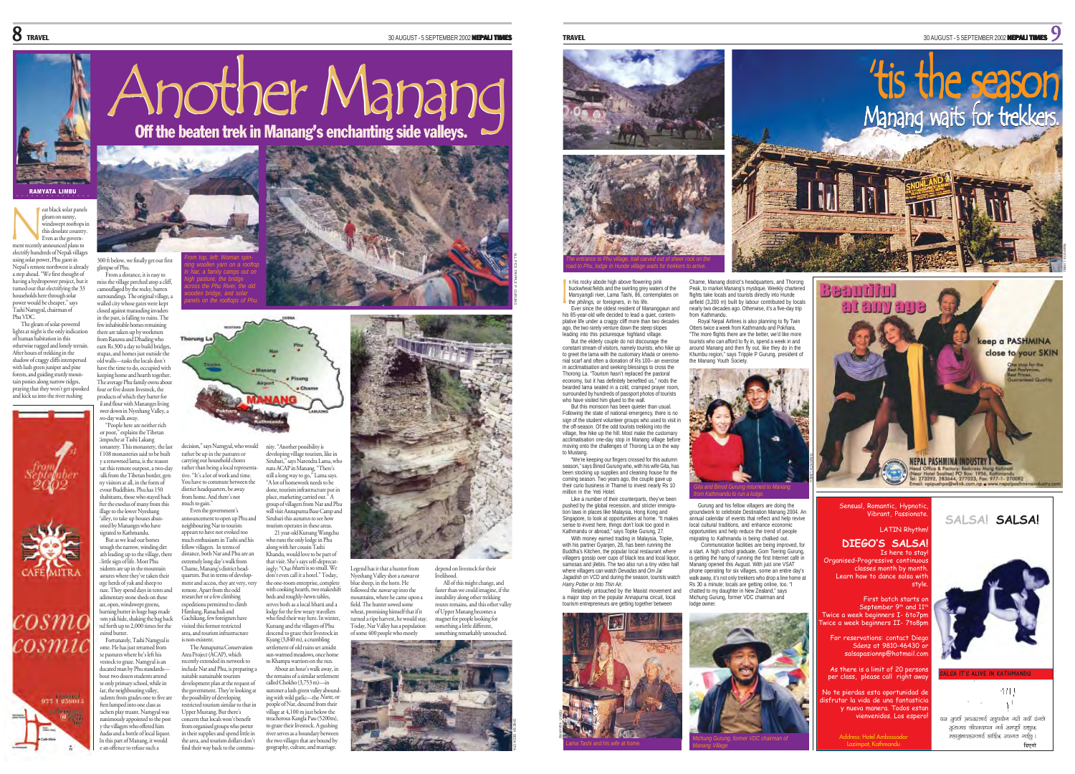RAMYATA LIMBU

'tis the season

Manang waits for trekkers.



#### eat black solar panel ○○○○○○○○○○○○○○○

gleam on sunny, windswept rooftops this desolate country. Even as the government recently announced plans to electrify hundreds of Nepali villages using solar power, Phu gaon in Nepal's remote northwest is already a step ahead. "We first thought of having a hydropower project, but it N

turned out that electrifying the 33 households here through solar power would be cheaper," says Tashi Namgyal, chairman of Phu VDC. The gleam of solar-power lights at night is the only indication

of human habitation in this otherwise rugged and lonely terrain. After hours of trekking in the shadow of craggy cliffs interspersed with lush green juniper and pine forests, and guiding sturdy mountain ponies along narrow ridges, praying that they won't get spooked and kick us into the river rushing





0sm desired butter.





usly appointed to the post by the villagers who offered him hadas and a bottle of local liquor. In this part of Manang, it would be an offence to refuse such a





miss the village perched atop a cliff, camouflaged by the rocky, barren surroundings. The original village, a *in Nar, a family camps out on across the Phu River, the old panels on the rooftops of Phu.*

walled city whose gates were kept closed against marauding invaders in the past, is falling to ruins. The few inhabitable homes remaining there are taken up by workmen from Rasuwa and Dhading who **Thorung I** earn Rs 300 a day to build bridges, stupas, and homes just outside the old walls—tasks the locals don't have the time to do, occupied with keeping home and hearth together. The average Phu family owns about

four or five dozen livestock, the products of which they barter for oil and flour with Mananges living wer down in Nyeshang Valley, a two-day walk away. "People here are neither rich

or poor," explains the Tibetan en pool, explains the 1800<br>Impoche at Tashi Lakang monastery. This monastery, the last of 108 monasteries said to be built a renowned lama, is the reason that this remote outpost, a two-day walk from the Tibetan border, gets any visitors at all, in the form of out Buddhists. Phu has 150 inhabitants, those who stayed back fter the exodus of many from this illage to the lower Nyeshang alley, to take up houses aba oned by Mananges who have migrated to Kathmandu. But as we lead our horses trough the narrow, winding dirt decision," says Namgyal, who would rather be up in the pastures or carrying out household chores rather than being a local representative. "It's a lot of work and time. You have to commute between the district headquarters, be away from home. And there's not much to gain." announcement to open up Phu and neighbouring Nar to tourists appears to have not evoked too fellow villagers. In terms of

ath leading up to the village, there little sign of life. Most Phu sidents are up in the mountain<br>astures where they've taken their rge herds of yak and sheep to ge. They spend days in tents and rudimentary stone sheds on these ast, open, windswept greens,<br>hurning butter in huge bags made om yak hide, shaking the bag back and forth up to 2,000 times for the Fortunately, Tashi Namgyal is distance, both Nar and Phu are an extremely long day's walk from Chame, Manang's district head-quarters. But in terms of development and access, they are very, very remote. Apart from the odd researcher or a few climbing expeditions permitted to climb Himlung, Ranachuli and Gachikang, few foreigners have visited this former restricted area, and tourism infrastructure

is non-existent. The Annapurna Conservation Area Project (ACAP), which recently extended its network to include Nar and Phu, is preparing a suitable sustainable tourism development plan at the request of the government. They're looking at the possibility of developing restricted tourism similar to that in Upper Mustang. But there's oncern that locals won't benefit from organised groups who porter

Even the government's

nity. "Another possibility is developing village tourism, like in Sirubari," says Narendra Lama, who runs ACAP in Manang. "There's still a long way to go," Lama says. "A lot of homework needs to be done, tourism infrastructure put in <sup>p</sup>lace, marketing carried out." A roup of villagers from Nar and Phu will visit Annapurna Base Camp and Sirubari this autumn to see how tourism operates in these areas. 21 year-old Kursang Wangchu

much enthusiasm in Tashi and his who runs the only lodge in Phu along with her cousin Tashi

andu, would love to be part of that visit. She's says self-deprecat ingly: "Our bhatti is so small. We don't even call it a hotel." Today, the one-room enterprise, complet with cooking hearth, two makeshift beds and roughly-hewn tables, serves both as a local bhatti and a lodge for the few weary travellers who find their way here. In winter

Kursang and the villagers of Phu<br>descend to graze their livestock in Kyang (3,840 m), a crumbling settlement of old ruins set amidst sun-warmed meadows, once home to Khampa warriors on the run. About an hour's walk away, in

the remains of a similar settlement called Chokho (3,753 m)—in summer a lush green valley abound ing with wild garlic—the Narte, or people of Nar, descend from their

in their supplies and spend little in the area, and tourism dollars don't find their way back to the commuvillage at 4,100 m just below the treacherous Kangla Pass (5200m) to graze their livestock. A gushing river serves as a boundary between the two villages that are bound by geography, culture, and marriage.





Legend has it that a hunter from Nyeshang Valley shot a nawar or depend on livestock for their livelihood.

blue sheep, in the horn. He followed the nawar up into the mountains, where he came upon a field. The hunter sowed some wheat, promising himself that if it turned a ripe harvest, he would stay. Today, Nar Valley has a population  $of some 400$  people who n All of this might change, and faster than we could imagine, if the instability along other trekking routes remains, and this other valley of Upper Manang becomes a magnet for people looking for nething a little different, something remarkably untouched.





n his rocky abode high above flowering pink buckwheat fields and the swirling grey waters of the Marsyangdi river, Lama Tashi, 86, contemplates on the *philings*, or foreigners, in his life. Ever since the oldest resident of Mananggaun and

I

his 85-year-old wife decided to lead a quiet, contemplative life under a craggy cliff more than two decades ago, the two rarely venture down the steep slopes leading into this picturesque highland village. But the elderly couple do not discourage the

constant stream of visitors, namely tourists, who hike up to greet the lama with the customary *khada* or ceremo nial scarf and often a donation of Rs 100– an exercise in acclimatisation and seeking blessings to cross the Thorong La. "Tourism hasn't replaced the pastoral economy, but it has definitely benefited us," nods the bearded lama seated in a cold, cramped prayer room, surrounded by hundreds of passport photos of tourists who have visited him glued to the wall.

But this monsoon has been quieter than usual. Following the state of national emergency, there is no sign of the student volunteer groups who used to visit in the off-season. Of the odd tourists trekking into the village, few hike up the hill. Most make the customary acclimatisation one-day stop in Manang village before moving onto the challenges of Thorong La on the way to Mustang. "We're keeping our fingers crossed for this autumn

season," says Binod Gurung who, with his wife Gita, has been stocking up supplies and cleaning house for the coming season. Two years ago, the couple gave up their curio business in Thamel to invest nearly Rs 10 million in the Yeti Hotel.

Like a number of their counterparts, they've been pushed by the global recession, and stricter immigration laws in places like Malaysia, Hong Kong and Singapore, to look at opportunities at home. "It makes sense to invest here, things don't look too good in Kathmandu or abroad," says Topke Gurung, 27.

with his partner Gyanien, 28, has been running the Buddha's Kitchen, the popular local restaurant where villagers gossip over cups of black tea and local liquor, samosas and jilebis. The two also run a tiny video hall where villagers can watch *Devadas* and *Om Jai Jagadish* on VCD and during the season, tourists watch *Harry Potter* or *Into Thin Air*.

Relatively untouched by the Maoist movement and a major stop on the popular Annapurna circuit, local tourism entrepreneurs are getting together between



Chame, Manang district's headquarters, and Thorong Peak, to market Manang's mystique. Weekly chartered flights take locals and tourists directly into Hunde airfield (3,200 m) built by labour contributed by locals nearly two decades ago. Otherwise, it's a five-day trip from Kathmandu.

Royal Nepal Airlines is also planning to fly Twin Otters twice a week from Kathmandu and Pokhara. "The more flights there are the better, we'd like more tourists who can afford to fly in, spend a week in and around Manang and then fly out, like they do in the Khumbu region," says Tripple P Gurung, president of ang Youth So



Gurung and his fellow villagers are doing the<br>groundwark to celebrate Destination Manana 2004. An groundwork to celebrate Destination Manang 2004. An annual calendar of events that reflect and help revive local cultural traditions, and enhance economic opportunities and help reduce the trend of people migrating to Kathmandu is being chalked out. Communication facilities are being improved, for a start. A high school graduate, Gom Tsering Gurung, is getting the hang of running the first Internet café in Manang opened this August. With just one VSAT phone operating for six villages, some an entire day's walk away, it's not only trekkers who drop a line home at Rs 30 a minute; locals are getting online, too. "I chatted to my daughter in New Zealand," says

Michung Gurung, former VDC chairman and lodge owner.





**lbPuf]**

9 A L L

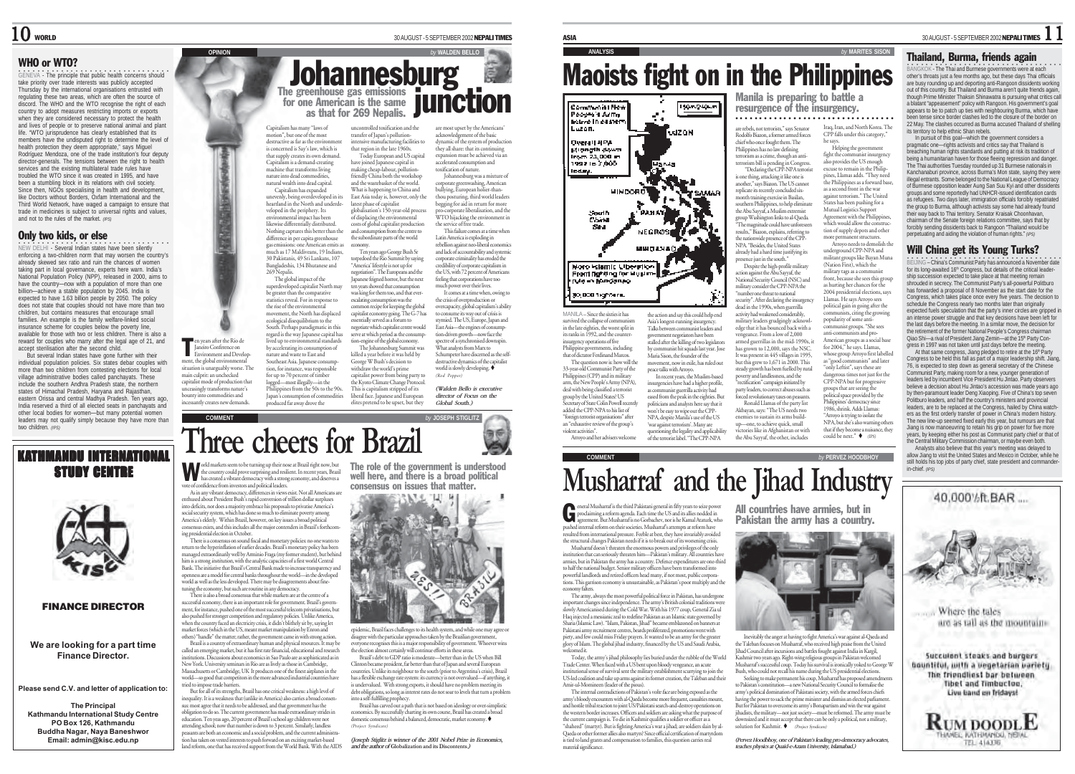## WHO or WTO?

○○○○○○○○○○○○○○○○○○○○○○○○○○○○○○○○ GENEVA - The principle that public health concerns should take priority over trade interests was publicly accepted Thursday by the international organisations entrusted with regulating these two areas, which are often the source of discord. The WHO and the WTO recognise the right of each country to adopt measures restricting imports or exports when they are considered necessary to protect the health and lives of people or to preserve national animal and plant life. "WTO jurisprudence has clearly established that its members have the undisputed right to determine the level of health protection they deem appropriate," says Miguel Rodríguez Mendoza, one of the trade institution's four deputy director-generals. The tensions between the right to health services and the existing multilateral trade rules have troubled the WTO since it was created in 1995, and have been a stumbling block in its relations with civil society. Since then, NGOs specialising in health and development, like Doctors without Borders, Oxfam International and the Third World Network, have waged a campaign to ensure that trade in medicines is subject to universal rights and values, and not to the rules of the market. *(IPS)*

## Only two kids, or else

**NEW DELHI - Several Indian states have been silently** enforcing a two-children norm that may worsen the country's already skewed sex ratio and ruin the chances of women taking part in local governance, experts here warn. India's National Population Policy (NPP), released in 2000, aims to have the country—now with a population of more than one billion—achieve a stable population by 2045. India is expected to have 1.63 billion people by 2050. The policy does not state that couples should not have more than two children, but contains measures that encourage small families. An example is the family welfare-linked social insurance scheme for couples below the poverty line, available for those with two or less children. There is also a reward for couples who marry after the legal age of 21, and accept sterilisation after the second child.

But several Indian states have gone further with their individual population policies. Six states debar couples with more than two children from contesting elections for local village administrative bodies called panchayats. These include the southern Andhra Pradesh state, the northern states of Himachal Pradesh, Haryana and Rajasthan, eastern Orissa and central Madhya Pradesh. Ten years ago, India reserved a third of all elected seats in panchayats and other local bodies for women—but many potential women leaders may not qualify simply because they have more than two children. *(IPS)*



**We are looking for a part time Finance Director.**

**Please send C.V. and letter of application to:**

**The Principal Kathmandu International Study Centre PO Box 126, Kathmandu Buddha Nagar, Naya Baneshwor Email: admin@kisc.edu.np**

 $10$  world  $30$  AUGUST - 5 SEPTEMBER 2002 NEPALI TIMES

## **OPINION** *by* **WALDEN BELLO** The greenhouse gas emissions  $\blacksquare$ for one American is the same as that for 269 Nepalis. **Johannesburg junction**

Capitalism has many "laws of motion", but one of the most destructive as far as the environ concerned is Say's law, which is that supply creates its own demand. Capitalism is a demand-creating machine that transforms living nature into dead commodities, natural wealth into dead capital. Capitalism has expanded unevenly, being overdeveloped in its heartland in the North and underdeveloped in the periphery. Its nmental impact has been likewise differentially distributed. Nothing captures this better than the difference in per capita greenhouse gas emissions: one American emits as ment as 17 Maldiveans, 19 Indians, uncontrolled toxification and the transfer of Japan's pollutionthat region in the late 1960s. have joined Japanese capital in making cheap-labour, pollutionfriendly China both the workshop and the wastebasket of the world. What is happening to China and East Asia today is, however, only the latest phase of capitalist <sup>g</sup>lobalisation's 150-year-old process of displacing the environmental costs of global capitalist production and consumption from the centre to the subordinate parts of the world economy. Ten years ago George Bush Sr

30 Pakistanis, 49 Sri Lankans, 107 Bangladeshis, 134 Bhutanese and 269 Nepalis. The global impact of the superdeveloped capitalist North may e greater than the comparative statistics reveal. For in response to the rise of the environm movement, the North has displaced ecological disequilibrium to the South. Perhaps paradigmatic in this regard is the way Japanese capital has lived up to environmental standards by accelerating its consumption of nature and waste to East and Southeast Asia. Japanese consump tion, for instance, was responsible for up to 70 percent of timber logged—most illegally—in the Philippines from the 50s to the 90s. torpedoed the Rio Summit by saying "America' lifestyle is not up for negotiation". The Europeans and the Japanese feigned horror, but the next ten years showed that consumption was king for them too, and that everescalating consumption was the common recipe for keeping the global capitalist economy going. The G-7 has essentially served as a forum to negotiate which capitalist centre would serve at which period as the consumption-engine of the global economy. The Johannesburg Summit was killed a year before it was held by George W Bush's decision to withdraw the world's prime capitalist power from being party to the Kyoto Climate Change Protocol. This is capitalism stripped of its liberal face. Japanese and European

intensive manufacturing facilities to Today European and US capital are most upset by the American acknowledgement of the basic dynamic of the system of production they all share: that its conti expansion must be achieved via an accelerated consumption and toxification of nature. Johannesburg was a mixture of

corporate greenwashing, American bullying, European holier-thanthou posturing, third world leaders begging for aid in return for more<br>processors liberalisation, and the pro-corporate liberalisation, and the WTO hijacking the environment in the service of free trade. This failure comes at a time when

Latin America is exploding in rebellion against neo-liberal economics and lack of accountability and systemic corporate criminality has eroded the credibility of corporate capitalism in the US, with 72 percent of Americans feeling that corporations have too much power over their lives.

It comes at a time when, owing to the crisis of overproduction or overcapacity, global capitalism's ability to consume its way out of crisis is stymied. The US, Europe, Japan and East Asia—the engines of consump-tion-driven growth—now face the uotraaven giowar-now taee uie<br>spectre of a synchronised downspi What analysts from Marx to Schumpeter have discerned as the self-destructive dynamics of the capitalist world is slowly developing. (Red Pepper)

elites pretend to be upset, but they *(Walden Bello is executive director of Focus on the Global South.)*

同后



мирачар presence just in the south." the action and say this could help end Asia's longest-running insurgency. Talks between communist leaders and government negotiators have been<br>ment negotiators have been stalled after the killing of two legislator by communist hit squads last year. Jose Maria Sison, the founder of the movement, now in exile, has ruled out peace talks with Arroyo. In recent years, the Muslim-based insurgencies have had a higher profile as communist guerrilla activity had eased from the peak in the eighties. But politicians and analysts here say that it won't be easy to wipe out the CPP-NPA, despite Manila's use of the US 'war against terrorism'. Many are questioning the legality and applicability<br>of the remain label "The CPD NDA victories like in Afghanistan or with of the terrorist label. "The CPP-NPA the Abu Sayyaf, the other, includes

military consider the CPP-NPA the "number one threat to national security". After declaring the insurgency ecutary<br>lead in the 1990s, when guerrilla activity had weakened considerably, military leaders grudgingly acknowl-edge that it has bounced back with a vengeance. From a low of 2,000 armed guerrillas in the mid-1990s, it has grown to 12,000, says the NSC. It was present in 445 villages in 1995. but this grew to 1,671 in 2000. This steady growth has been fuelled by rural poverty and landlessness, and the "rectification" campaign initiated by party leaders, to correct abuses such as forced revolutionary taxes on peasants. Ronald Llamas of the party list Akbayan, says: "The US needs two enemies to sustain its arms build-

solution for Kashmir.  $\bullet$  Project Syndicate

*teaches physics at Quaid-e-Azam University, Islamabad.)*

○○○○○○○○○○○○○○○○○○○○○○○○○○○○ ○○○○○

*by* MARITES SISON

Iraq, Iran, and North Korea. The CPP falls under this category,

 "Declaring the CPP-NPA terrorist is one thing, attacking it like one is another," says Biazon. The US cannot replicate its recently concluded sixmonth training exercise in Basilan, southern Philippines, to help eliminat the Abu Sayyaf, a Muslim extremist group Washington links to al-Qaeda. "The magnitude could have unforeseen results," Biazon, explains, referring to the nationwide presence of the CPP-NPA. "Besides, the United States already had a hard time justifying its Despite the high-profile military action against the Abu Sayyaf, the National Security Council (NSC) and up—one, to achieve quick, small he says. Helping the government fight the communist insurgency also provides the US enough aso provides the CO enough pines, Llamas adds. "They need the Philippines as a forward base, as a second front in the war against terrorism." The United States has been pushing for a Mutual Logistics Support reement with the Philippine which would allow the construction of supply depots and other more permanent structures. Arroyo needs to demolish th underground CPP-NPA and militant groups like Bayan Muna (Nation First), which the military tags as a communist front, because she sees this group as hurting her chances for the 2004 presidential elections, says Llamas. He says Arroyo sees political gain in going after the communists, citing the growing popularity of some anticommunist groups. "She sees anti-communists and pro-American groups as a social base for 2004," he says. Llamas, whose group Arroyo first labelled as the communists" and later "only Leftist", says these are angerous times not just for the CPP-NPA but for progressive groups that are seeing the political space provided by the Philippines' democracy since 1986, shrink. Adds Llamas: "Arroyo is trying to isolate the NPA, but she's also warning others that if they become a nuisance, they

**COMMENTAL COMMENTAL BY** PERVEZ HOODBHOY

could be next."  $\bullet$  (IPS)

 $\frac{1}{30}$  AUGUST - 5 SEPTEMBER 2002 NEPALI TIMES  $\frac{1}{1}$ 

## Thailand, Burma, friends again

○○○○○○○○○○○○ ○○○○○○○○○○○○○○○○○○○○○ BANGKOK - The Thai and Burmese governments were at each other's throats just a few months ago, but these days Thai officials are busy rounding up and deporting anti-Rangoon dissidents working out of this country. But Thailand and Burma aren't quite friends again though Prime Minister Thaksin Shinawatra is pursuing what critics call a blatant "appeasement" policy with Rangoon. His government's goal appears to be to patch up ties with neighbouring Burma, which have been tense since border clashes led to the closure of the border on 22 May. The clashes occurred as Burma accused Thailand of shelling its territory to help ethnic Shan rebels.

In pursuit of this goal—which the government considers a pragmatic one—rights activists and critics say that Thailand is breaching human rights standards and putting at risk its tradition of being a humanitarian haven for those fleeing repression and danger. The Thai authorities Tuesday rounded up 31 Burmese nationals in Kanchanaburi province, across Burma's Mon state, saying they were illegal entrants. Some belonged to the National League of Democracy of Burmese opposition leader Aung San Suu Kyi and other dissidents groups and some reportedly had UNHCR-issued identification cards as refugees. Two days later, immigration officials forcibly repatriated the group to Burma, although activists say some had already found their way back to Thai territory. Senator Kraisak Choonha chairman of the Senate foreign relations committee, says that by forcibly sending dissidents back to Rangoon "Thailand would be perpetuating and aiding the violation of human rights." *(IPS)*

## Will China get its Young Turks?

○○○○○○○○○○○○ ○○○○○○○○○○○○○○○○○○○○○ BEIJING – China's Communist Party has announced a November date for its long-awaited 16<sup>th</sup> Congress, but details of the critical leadership succession expected to take place at that meeting remain shrouded in secrecy. The Communist Party's all-powerful Politburo has forwarded a proposal of 8 November as the start date for the Congress, which takes place once every five years. The decision to schedule the Congress nearly two months later than originally expected fuels speculation that the party's inner circles are gripped in an intense power struggle and that key decisions have been left for the last days before the meeting. In a similar move, the decision for the retirement of the former National People's Congress chairman Qiao Shi—a rival of President Jiang Zemin—at the 15th Party Congress in 1997 was not taken until just days before the meeting.

At that same congress, Jiang pledged to retire at the 16<sup>th P</sup>arty Congress to be held this fall as part of a major leadership shift. Jiang, 76, is expected to step down as general secretary of the Chinese Communist Party, making room for a new, younger generation of leaders led by incumbent Vice President Hu Jintao. Party observers believe a decision about Hu Jintao's accession was made years ago by then-paramount leader Deng Xiaoping. Five of China's top seven Politburo leaders, and half the country's ministers and provincial leaders, are to be replaced at the Congress, hailed by China watchers as the first orderly transfer of power in China's modern history. The new line-up seemed fixed early this year, but rumours are that Jiang is now manoeuvring to retain his grip on power for five more years, by keeping either his post as Communist party chief or that of the Central Military Commission chairman, or maybe even both.

Analysts also believe that this year's meeting was delayed to allow Jiang to visit the United States and Mexico in October, while he still holds his top jobs of party chief, state president and commander in-chief. *(IPS)*





Japan's consumption of commodities produced far away drove the

vote of confidence from investors and political leaders. As in any vibrant democracy, differences in views exist. Not all Americans an enthused about President Bush's rapid conversion of trillion dollar surpluses into deficits, nor does a majority embrace his proposals to privatise America's social security system, which has done so much to eliminate poverty among

America's elderly. Within Brazil, however, on key issues a broad political consensus exists, and this includes all the major contenders in Brazil's forthcoming presidential election in October. There is a consensus on sound fiscal and monetary policies: no one wants to return to the hyperinflation of earlier decades. Brazil's monetary policy has been

en years after the Rio de Janeiro Conference on en years after the Rio de<br>Janeiro Conference on<br>Environment and Development, the global environmental ation is unarguably worse. Th main culprit: an unchecked capitalist mode of production that .<br>uceasingly transforms nature's bounty into commodities and incessantly creates new demands

managed extraordinarily well by Arminio Fraga (my former student), but behind him is a strong institution, with the analytic capacities of a first world Central Bank. The initiative that Brazil's Central Bank made to increase transparency and openness are a model for central banks throughout the world—in the developed world as well as the less developed. There may be disagreements about finetuning the economy, but such are routine in any democracy. There is also a broad consensus that while markets are at the centre of a

successful economy, there is an important role for government. Brazil's govern-ment, for instance, pushed one of the most successful telecom privatisations, but also pushed for stronger competition and regulatory policies. Unlike America, when the country faced an electricity crisis, it didn't blithely sit by, saying let market forces (which in the US, meant market manipulation by Enron and others) "handle" the matter; rather, the government came in with strong action.<br>Bevil is a country of extenoring pump and physical resources. It may be Brazil is a country of extraordinary human and physical resources. It may be called an emerging market, but it has first rate financial, educational and research institutions. Discussions about economics in Sao Paulo are as sophisticated as in New York. University seminars in Rio are as lively as those in Cambridge, Massachusetts or Cambridge, UK It produces one of the finest airplanes in the world—so good that competitors in the more advanced industrial countries have<br>tried to impose trade barriers

tried to impose trade barriers. But for all of its strengths, Brazil has one critical weakness: a high level of inequality. It is a weakness that (unlike in America) also carries a broad consensus: most agree that it needs to be addressed, and that government has the obligation to do so. The current government has made extraordinary strides in education. Ten yeas ago, 20 percent of Brazil's school age children were not attending school; now that number is down to 3 percent. Similarly, landless peasants are both an economic and a social problem, and the current administr tion has taken on vested interests to push forward on an exciting market-based land reform, one that has received support from the World Bank. With the AIDS

The role of the government is understood well here, and there is a broad political consensus on issues that matter.



epidemic, Brazil faces challenges to its health system, and while one may agree o disagree with the particular approaches taken by the Brazilian government,<br>werenne recognises this is a major responsibility of government. Whoever wins ne recognises this is a major responsibility of governm

the election almost certainly will continue efforts in these areas. Brazil's debt to GDP ratio is moderate—better than in the US when Bill Clinton became president, far better than that of Japan and several European countries. Unlike its neighbour to the south (prior to Argentina's crisis), Brazil has a flexible exchange rate system: its currency is not overvalued—if anything, it is undervalued. With strong exports, it should have no problem meeting its debt obligations, so long as interest rates do not soar to levels that turn a problem into a self-fulfilling prophecy.

Brazil has carved out a path that is not based on ideology or over-simplistic economics. By successfully charting its own course, Brazil has created a broad domestic consensus behind a balanced, democratic, market economy. (Project Syndicate)

*(Joseph Stiglitz is winner of the 2001 Nobel Prize in Economics, and the author of* **Globalization and its Discontents***.)*

proclaiming a reform agenda. Each time the US and its allies nodded in proclaiming a reform agenda. Each time the US and its allies nodded in a pushed internal reform on their societies. Musharraf's attempts at reform have resulted from international pressure. Feeble at best, they have invariably avoided the structural changes Pakistan needs if it is to break out of its worsening crisis. Musharen doesn't threaten the enormous powers and privileges of the only

institution that can seriously threaten him—Pakistan's military. All countries have armies, but in Pakistan the army has a country. Defence expenditures are one-third to half the national budget. Senior military officers have been transformed into powerful landlords and retired officers head many, if not most, public corporations. This garrison economy is unsustainable, as Pakistan's poor multiply and the economy falters.

Haq injected a messianic zeal to redefine Pakistan as an Islamic state governed by Sharia (Islamic Law). "Islam, Pakistan, Jihad" became emblazoned on b Pakistani army recruitment centres, beards proliferated, promotions went with <sup>p</sup>iety, and few could miss Friday prayers. It wanted to be an army for the greater glory of Islam. The global jihad industry, financed by the US and Saudi Arabia, welcomed it.

Trade Center. When faced with a US bent upon bloody vengeance, an acute institutional sense of survival sent the military establishment scurrying to join the US-led coalition and take up arms against its former creation, the Taleban and their

Amir-ul-Momineen (leader of the pious). The internal contradictions of Pakistan's volte face are being exposed as the army's bloody encounters with al-Qaeda become more frequent, cas

and hostile tribal reaction to joint US/Pakistani search-and-destroy operations on the western border increases. Officers and soldiers are asking what the purpose of the current campaign is. To die in Kashmir qualifies a soldier or officer as a "shaheed" (martyr). But is fighting America's war a jihad; are soldiers slain by al-Qaeda or other former allies also martyrs? Since official certification of martyrdom is tied to land grants and compensation to families, this question carries real material significance.

eneral Musharraf is the third Pakistani general in fifty years to seize power **Musharraf and the Jihad Industry**

MANILA – Since the sixties it has survived the collapse of communist in the late eighties, the worst split in its ranks in 1992, and the insurgency operations of five Philippine governments, including that of dictator Ferdinand Marcos. The question now is: how will the 33-year-old Communist Party of the Philippines (CPP) and its military arm, the New People's Army (NPA), deal with being classified a terrorist group by the United States? US Secretary of State Colin Powell recently added the CPP-NPA to his list of "foreign terrorist organisations" after an "exhaustive review of the group's violent activities". Arroyo and her advisers welcome

South<br>China

More Islamic Uberation From fighting for Muslim **INFO IN BANGSTON** 30,000 highbars.

**MINDOR** 

All countries have armies, but in Pakistan the army has a country.



important changes since independence. The army's British colonial traditions were slowly Americanised during the Cold War. With his 1977 coup, General Zia ul

Today, the army's jihad philosophy lies buried under the rubble of the World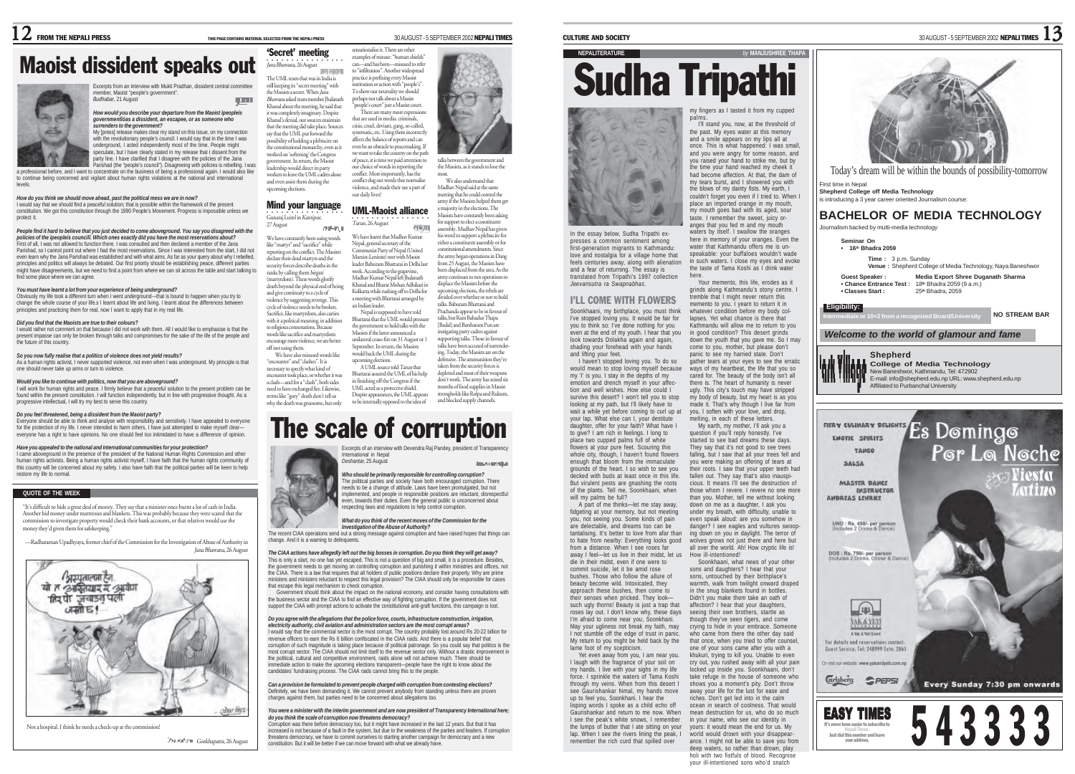The UML team that was in India is still keeping its "secret meeting" with the Maoists a secret. When Jana Bhawana asked team member Jhalanath Khanal about the meeting, he said that mpletely imaginary. Despite Khanal's denial, our sources maintain that the meeting did take place. Sources say that the UML put forward the possibility of holding a plebiscite on the constitutional monarchy, even as it worked on 'softening' the Congress vernment. In return, the Maois leadership would direct its party workers to leave the UML cadres alone and even assist them during the upcoming elections. Mind your language ○○○○○○○○○○○○○○○○ Gunaraj Luitel in Kantipur, 27 August We have constantly been using words like "martyr" and "sacrifice" while reporting on the conflict. The Maoists declare their dead martyrs and the security forces describe deaths in the ranks by calling them birgati (martyrdom). These words glorify death beyond the physical end of being and give continuity to a cycle of violence by suggesting revenge. This cycle of violence needs to be broken. Sacrifice, like martyrdom, also carries with it a political meaning, in addition to religious connotations. Because words like sacrifice and martyrdom encourage more violence, we are better off not using them. We have also misused words like "encounter" and "clashes". It is necessary to specify what kind of encounter took place, or whether it was a clash—and for a "clash", both sides need to have exchanged fire. Likewise, terms like "gory" death don't tell us why the death was gruesome, but only

#### Maoist dissident speaks out ○○○○○○○○○○○○○○○○ Jana Bhawana, 26 August 'Secret' meeting



Excerpts from an interview with Mukti Pradhan, dissident central committee member, Maoist "people's government". *Budhabar*, 21 August

#### *How would you describe your departure from the Maoist ìpeopleís governmentîóas a dissident, an escapee, or as someone who surrenders to the government?*

My [press] release makes clear my stand on this issue, on my connection with the revolutionary people's council. I would say that in the time I was underground, Lacted independently most of the time. People might speculate, but I have clearly stated in my release that I dissent from the

party line. I have darified that I disagree with the policies of the Jana.<br>Parishad (the "people's council"). Disagreeing with policies is rebelling. I was<br>a professional again. I would also like a professional again. I wo to continue being concerned and vigilant about human rights violations at the national and international levels.

#### *How do you think we should move ahead, past the political mess we are in now?*

I would say that we should find a peaceful solution; that is possible within the framework of the present constitution. We got this constitution through the 1990 People's Movement. Progress is impossible unless we protect it.

#### *People find it hard to believe that you just decided to come aboveground. You say you disagreed with the*

*policies of the ìpeopleís councilî. Which ones exactly did you have the most reservations about?* First of all, I was not allowed to function there. I was consulted and then declared a member of the Jana Parishad, so I cannot point out where I had the most reservations. Since I was interested from the start, I did not even learn why the Jana Parishad was established and with what aims. As far as your query about why I rebelled<br>principles and politics will always be debated. Our first priority should be establishing peace, different part might have disagreements, but we need to find a point from where we can sit across the table and start talking to find some place where we can agree.

#### *You must have learnt a lot from your experience of being underground?*

Obviously my life took a different turn when I went underground—that is bound to happen when you try to change the whole course of your life.s I learnt about life and living. I learnt about the differences between principles and practicing them for real, now I want to apply that in my real life.

#### *Did you find that the Maoists are true to their colours?*

I would rather not comment on that because I did not work with them. All I would like to emphasise is that the present impasse can only be broken through talks and compromises for the sake of the life of the people and the future of this country

*So you now fully realise that a politics of violence does not yield results?* As a human rights activist, I never supported violence, not even when I was underground. My principle is that one should never take up arms or turn to violence.

#### *Would you like to continue with politics, now that you are aboveground?*

I will work for human rights and peace. I firmly believe that a peaceful solution to the present problem can be found within the present constitution. I will function independently, but in line with progressive thought. As a progressive intellectual, I will try my best to serve this country.

#### *Do you feel threatened, being a dissident from the Maoist party?*

Everyone should be able to think and analyse with responsibility and sensitivity. I have appealed to everyone for the protection of my life. I never intended to harm others, I have just attempted to make myself clear everyone has a right to have opinions. No one should feel too intimidated to have a difference of opinion.

#### *Have you appealed to the national and international communities for your protection?*

I came aboveground in the presence of the president of the National Human Rights Commission and other human rights activists. Being a human rights activist myself, I have faith that the human rights community of this country will be concerned about my safety. I also have faith that the political parties will be keen to help restore my life to normal.

#### **QUOTE OF THE WEEK**

"It's difficult to hide a great deal of money. They say that a minister once burnt a lot of cash in India. Another hid money under mattresses and blankets. This was probably because they were scared that the commission to investigate property would check their bank accounts, or that relatives would use the money they'd given them for safekeeping."

—Radharaman Upadhyaya, former chief of the Commission for the Investigation of Abuse of Authority in Jana Bhawana, 26 August



Not a hospital. I think he needs a check-up at the commission!

Gorkhapatra, 26 August



we want to take the country on the path of peace, it is time we paid attention to r choice of words in reporting the conflict. More importantly, has the conflict dug out words that normalise violence, and made their use a part of our daily lives?

Nepal, general secretary of the

week. According to the grapevine,

an Indian leader.

**COMPANY** 

talks between the government and the Maoists, as it stands to lose the most.

.<br>We also understand that Madhav Nepal said at the same meeting that he could control the army if the Maoists helped them get ajority in the elections. The

UML-Maoist alliance Maoists have constantly been asking ○○○○○○○○○○ ○○○○○○ Tarun, 26 August for support to elect a constituent 市场加 assembly. Madhav Nepal has given We have learnt that Madhav Kumar his word to support a plebiscite for either a constituent assembly or for constitutional amendments. Since Communist Party of Nepal (United Marxist-Leninist) met with Maoist the army began operations in Dang leader Baburam Bhattarai in Delhi last from 25 August, the Maoists have been displaced from the area. As the Madhav Kumar Nepal left Jhalanath army continues to run operations to Khanal and Bharat Mohan Adhikari in displace the Maoists before the Kolkatta while rushing off to Delhi for upcoming elections, the rebels are a meeting with Bhattarai arranged by divided over whether or not to hold talks. Baburam Bhattarai and Nepal is supposed to have told

Bhattarai that the UML would pressure the government to hold talks with the Maoists if the latter announced a unilateral cease-fire on 31 August or 1 September. In return, the Maoists would back the UML during the upcoming elections. A UML source told Tarun that Bhattarai assured the UML of his help in finishing off the Congress if the UML acted as a protective shield. Despite appearances, the UML appears to be internally opposed to the idea of Prachanda appear to be in favour of talks, but Ram Bahadur Thapa [Badal] and Barsharam Pun are<br>instigating party cados against instigating party cadres against supporting talks. Those in favour of talks have been accused of surrender ing. Today, the Maoists are on the defensive. The ammunition they've taken from the security forces is depleted and most of their weapons don't work. The army has seized six months of food supplies in Maoist strongholds like Rolpa and Rukum and blocked supply channels.

**Incorporate** 

# The scale of corruption

Excerpts of an interview with Devendra Raj Pandey, president of Transparency



The political parties and society have both encouraged corruption. There needs to be a change of attitude. Laws have been promulgated, but not<br>molemented, and people in recogniship positions are reluctant, disrespectful implemented, and people in responsible positions are reluctant, disrespectfu<br>even, towards their duties. Even the general public is unconcerned about respecting laws and regulations to help control corruption.

# *What do you think of the recent moves of the Commission for the*

**Investigation of the Abuse of Authority?**<br>The recent CIAA operations send out a strong message against corruption and have raised hopes that things can change. And it is a warning to delinquents.

#### *The CIAA actions have allegedly left out the big bosses in corruption. Do you think they will get away?*

This is only a start, no one has yet escaped. This is not a question of big and small, it is a procedure. Besides, the government needs to get moving on controlling corruption and punishing it within ministries and offices, not the CIAA. There is a law that requires that all holders of public positions declare their property. Why are prime ministers and ministers reluctant to respect this legal provision? The CIAA should only be responsible for cases that escape this legal mechanism to check corruption.

Figure 1.1 Section 2.1 Section 2.1 Section 1.1 Section 2.1 Section 1.1 Section 1.1 Section 2.1 Sections with the impact on the national economy, and consider having consultations with the business sector and the CIAA to find an effective way of fighting corruption. If the government does not support the CIAA with prompt actions to activate the constitutional anti-graft functions, this campaign is lost.

## *Do you agree with the allegations that the police force, courts, infrastructure construction, irrigation,*

*electricity authority, civil aviation and administration sectors are the most corrupt areas?* I would say that the commercial sector is the most corrupt. The country probably lost around Rs 20-22 billion for revenue officers to earn the Rs 6 billion confiscated in the CIAA raids. And there is a popular belief that corruption of such magnitude is taking place because of political patronage. So you could say that politics is the most corrupt sector. The CIAA should not limit itself to the revenue sector only. Without a drastic improvement in the political, cultural and competitive environment, raids alone will not achieve much. There should be immediate action to make the upcoming elections transparent—people have the right to know about the candidates' fundraising process. The CIAA raids cannot bring this to the people.

*Can a provision be formulated to prevent people charged with corruption from contesting elections?* Definitely, we have been demanding it. We cannot prevent anybody from standing unless there are proven charges against them, but parties need to be concerned about allegations too.

#### *You were a minister with the interim government and are now president of Transparency International here; do you think the scale of corruption now threatens democracy?*

Corruption was there before democracy too, but it might have increased in the last 12 years. But that it has increased is not because of a fault in the system, but due to the weakness of the parties and leaders. If corruption threatens democracy, we have to commit ourselves to starting another campaign for democracy and a new constitution. But it will be better if we can move forward with what we already have.

CULTURE AND SOCIETY **SEPTEMBER 2002 NEPALI TIMES**  $13$ 

I'll stand you, now, at the threshold of

tremble that I might never return this memento to you. I yearn to return it in whatever condition before my body collapses. Yet what chance is there that Kathmandu will allow me to return to you in good condition? This desert grinds down the youth that you gave me. So I may come to you, mother, but please don't panic to see my harried state. Don't gather tears at your eyes to see the erratic ways of my heartbeat, the life that you so cared for. The beauty of the body isn't all there is. The heart of humanity is never ugly. This city's touch may have stripped my body of beauty, but my heart is as you made it. That's why though I live far from you, I soften with your love, and drop, melting, in each of these letters. My earth, my mother, I'll ask you a question if you'll reply honestly. I've started to see bad dreams these days. They say that it's not good to see trees falling, but I saw that all your trees fell and you were making an offering of tears at their roots. I saw that your upper teeth had fallen out. They say that's also inauspicious. It means I'll see the destruction of

Soonkhaani, what news of your other

warmth, walk from twilight onward draped in the snug blankets found in bottles. Didn't you make them take an oath of affection? I hear that your daughters seeing their own brothers, startle as though they've seen tigers, and come crying to hide in your embrace. Someone who came from there the other day said that once, when you tried to offer counsel, one of your sons came after you with a khukuri, trying to kill you. Unable to even cry out, you rushed away with all your pain locked up inside you. Soonkhaani, don't take refuge in the house of someone who shows you a moment's pity. Don't throw away your life for the lust for ease and riches. Don't get led into in the calm ocean in search of coolness. That would mean destruction for us, who do so much in your name, who see our identity in irs: it would mean the end for us. My world would drown with your disappearance. I might not be able to save you from deep waters, so rather than drown, play holi with two fistfuls of blood. Recognise your ill-intentioned sons who'd snatch



In the essay below, Sudha Tripathi expresses a common sentiment among first-generation migrants to Kathmandu: love and nostalgia for a village home that feels centuries away, along with alienation and a fear of returning. The essay is translated from Tripathi's 1997 collection *Jeevansutra ra Swapnabhas*. anges that you fed m and my mouth waters by itself. I swallow the oranges here in memory of your oranges. Even the water that Kathmandu offers me is unspeakable: your buffaloes wouldn't wade in such waters. I close my eyes and evoke the taste of Tama Koshi as I drink water here. Your memento, this life, erodes as it grinds along Kathmandu's stony centre. I

I'LL COME WITH FLOWERS Soonkhaani, my birthplace, you must think I've stopped loving you. It would be fair for you to think so: I've done nothing for you even at the end of my youth. I hear that you look towards Dolakha again and again, shading your forehead with your hands and lifting your feet. I haven't stopped loving you. To do so

would mean to stop loving myself because my 'I' is you. I stay in the depths of my emotion and drench myself in your affection and well wishes. How else could I survive this desert? I won't tell you to stop looking at my path, but I'll likely have to wait a while yet before coming to curl up at your lap. What else can I, your destitute daughter, offer for your faith? What have I to give? I am rich in feelings. I long to place two cupped palms full of white flowers at your pure feet. Scouring this whole city, though, I haven't found flowers enough that bloom from the immaculate grounds of the heart. I so wish to see you decked with buds at least once in this life. But virulent pests are gnashing the roots of the plants. Tell me, Soonkhaani, when

will my palms be full? A part of me thinks—let me stay away, fidgeting at your memory, but not meeting you, not seeing you. Some kinds of pain are delectable, and dreams too can be tantalising. It's better to love from afar than to hate from nearby: Everything looks good from a distance. When I see roses far away I feel—let us live in their midst, let us die in their midst, even if one were to commit suicide, let it be amid rose those whom I revere. I revere no one more than you. Mother, tell me without looking down on me as a daughter, I ask you under my breath, with difficulty, unable to even speak aloud: are you somehow in danger? I see eagles and vultures swooping down on you in daylight. The terror of wolves grows not just there and here but all over the world. Ah! How cryptic life is! How ill-intentioned! sons and daughters? I hear that your sons, untouched by their birthplace's

bushes. Those who follow the allure of beauty become wild. Intoxicated, they approach these bushes, then come to their senses when pricked. They look such ugly thorns! Beauty is just a trap that roses lay out. I don't know why, these days I'm afraid to come near you, Soonkhani. May your ugliness not break my faith, may I not stumble off the edge of trust in panic. My return to you might be held back by the lame foot of my scepticism.

Yet even away from you, I am near you. I laugh with the fragrance of your soil on my hands. I live with your sighs in my life force. I sprinkle the waters of Tama Koshi through my veins. When from this desert I see Gaurishankar himal, my hands move up to feel you, Soonkhani. I hear the lisping words I spoke as a child echo off

Gaurishankar and return to me now. When I see the peak's white snows, I remember the lumps of butter that I ate sitting on your lap. When I see the rivers lining the peak, I remember the rich curd that spilled over



## **Shepherd College off Media Technology** is introducing a 3 year career oriented Journalism course: **BACHELOR OF MEDIA TECHNOLOGY** Journalism backed by multi-media technology **Seminar On • 16th Bhadra 2059 Time :** 3 p.m. Sunday **Venue :** Shepherd College of Media Technology, Naya Baneshwor **Guest Speaker : Media Export Shree Duganath Sharma • Chance Entrance Test :** 18**th** Bhadra 2059 (9 a.m.) **• Classes Start :** 25**th** Bhadra, 2059 **Eligibility: NO STREAM BAR Intermediate or 10+2 from a recognized Board/University** *Welcome to the world of glamour and fame* **Shepherd College of Media Technology** New Baneshwor, Kathmandu, Tel: 472902 E-mail: info@shepherd.edu.np URL: www.shepherd.edu.np Affiliated to Purbanchal University FIERY CULINARY DELIGHTS ES DOMINGO Por Lo Noche TANGO SALSA MASTER DANCE **INSTRUCTOR**  $\sqrt{1000/R}$ ANDREAS LEHRKE **UNO : Rs. 450'- per person**<br>(Indudes 2 Drinks & Dance) DOS : Rs. 750/- per person<br>(Includes 2 Drinks, Dinner & Dance)  $\n 145$ YAK & YET Web & Well Face For details and reservation Guest Service, Tel: 248999 Exte: 2865 Ir visit our website: www.vakandyati.com.re **Carlsberg SPEPSI**





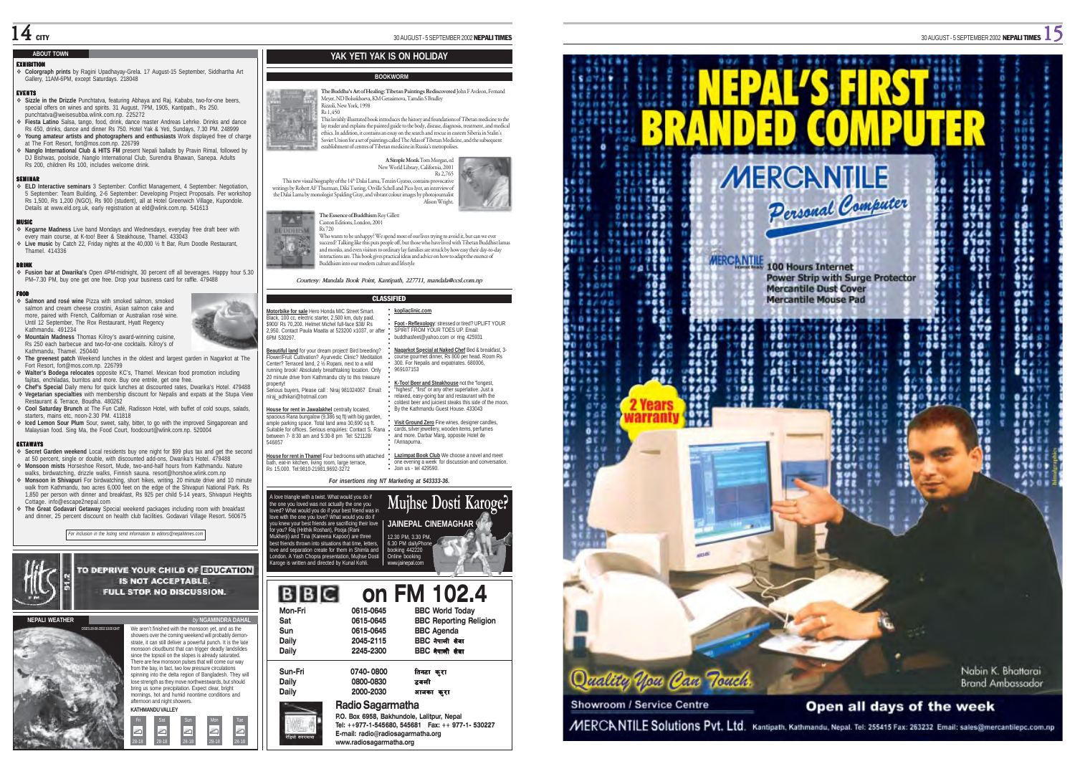#### **ABOUT TOWN**

EXHIBITION **Colorgraph prints** by Ragini Upadhayay-Grela. 17 August-15 September, Siddhartha Art Gallery, 11AM-6PM, except Saturdays. 218048

#### EVENTS

 **Sizzle in the Drizzle** Punchtatva, featuring Abhaya and Raj. Kababs, two-for-one beers, special offers on wines and spirits. 31 August, 7PM, 1905, Kantipath., Rs 250. punchtatva@weisesubba.wlink.com.np. 225272

- **Fiesta Latino** Salsa, tango, food, drink, dance master Andreas Lehrke. Drinks and dance Rs 450, drinks, dance and dinner Rs 750. Hotel Yak & Yeti, Sundays, 7.30 PM. 248999 **Young amateur artists and photographers and enthusiasts** Work displayed free of charge at The Fort Resort, fort@mos.com.np. 226799
- **Nanglo International Club & HITS FM** present Nepali ballads by Pravin Rimal, followed by DJ Bishwas, poolside, Nanglo International Club, Surendra Bhawan, Sanepa. Adults Rs 200, children Rs 100, includes welcome drink.

**\$EMINAR**<br>FELD Interactive seminars 3 September: Conflict Management, 4 September: Negotiation,<br>5 September: Team Building, 2-6 September: Developing Project Proposals. Per workshop Rs 1,500, Rs 1,200 (NGO), Rs 900 (student), all at Hotel Greenwich Village, Kupondole. Details at www.eld.org.uk, early registration at eld@wlink.com.np. 541613

MUSIC **Kegarne Madness** Live band Mondays and Wednesdays, everyday free draft beer with every main course, at K-too! Beer & Steakhouse, Thamel. 433043 **Live music** by Catch 22, Friday nights at the 40,000 ½ ft Bar, Rum Doodle Restaurant, Thamel. 414336

#### DRINK

 **Fusion bar at Dwarika's** Open 4PM-midnight, 30 percent off all beverages. Happy hour 5.30 PM–7.30 PM, buy one get one free. Drop your business card for raffle. 479488

#### FOOD

 **Salmon and rosé wine** Pizza with smoked salmon, smoked salmon and cream cheese crostini, Asian salmon cake and more, paired with French, Californian or Australian rosé wine. Until 12 September, The Rox Restaurant, Hyatt Regency Kathmandu. 491234 **Mountain Madness** Thomas Kilroy's award-winning cuisine,

Rs 250 each barbecue and two-for-one cocktails. Kilroy's of Kathmandu, Thamel. 250440

 **The greenest patch** Weekend lunches in the oldest and largest garden in Nagarkot at The Fort Resort, fort@mos.com.np. 226799 **Walter's Bodega relocates** opposite KC's, Thamel. Mexican food promotion including

fajitas, enchiladas, burritos and more. Buy one entrée, get one free.

 **Chef's Special** Daily menu for quick lunches at discounted rates, Dwarika's Hotel. 479488 **Vegetarian specialties** with membership discount for Nepalis and expats at the Stupa View Restaurant & Terrace, Boudha. 480262

 **Cool Saturday Brunch** at The Fun Café, Radisson Hotel, with buffet of cold soups, salads, starters, mains etc, noon-2.30 PM, 411818

 **Iced Lemon Sour Plum** Sour, sweet, salty, bitter, to go with the improved Singaporean and Malaysian food. Sing Ma, the Food Court, foodcourt@wlink.com.np. 520004

#### GETAWAYS

 **Secret Garden weekend** Local residents buy one night for \$99 plus tax and get the second at 50 percent, single or double, with discounted add-ons, Dwarika's Hotel. 479488 **Monsoon mists** Horseshoe Resort, Mude, two-and-half hours from Kathmandu. Nature

walks, birdwatching, drizzle walks, Finnish sauna. resort@horshoe.wlink.com.np **Monsoon in Shivapuri** For birdwatching, short hikes, writing. 20 minute drive and 10 minute world from Kathmandu, two acres 6,000 feet on the edge of the Shivapuri National Park. Rs 1,850 per person with dinner and breakfast, Rs 925 per child 5-14 years, Shivapuri Heights Cottage. info@escape2nepal.com

 **The Great Godavari Getaway** Special weekend packages including room with breakfast and dinner, 25 percent discount on health club facilities. Godavari Village Resort. 560675

*For inclusion in the listing send information to editors@nepalitimes.com*



**KATHMANDU VALLEY**

afternoon and night showers.

Fri Sat Sun Mon Tue 28-18 28-18 28-18 28-18 28-18

بص سی اب

 $\bf 14$  city

#### **YAK YETI YAK IS ON HOLIDAY**

#### **BOOKWORM**

**The Buddha's Art of Healing: Tibetan Paintings Rediscovered** John F Avdeon, Fernand Meyer, ND Bolsokhoeva, KM Gerasimova, Tamdin S Bradley Rizzoli, New York, 1998 Rs 1,450

This lavishly illustrated book introduces the history and foundations of Tibetan medicine to the ay reader and explains the painted guide to the body, disease, diagnosis, treatment, and medical ethics. In addition, it contains an essay on the search and rescue in eastern Siberia in Stalin's Soviet Union for a set of paintings called The Atlas of Tibetan Medicine, and the subsequent stablishment of centres of Tibetan medicine in Russia's metropolises



the Dalai Lama by monologist Spalding Gray, and vibrant colour images by photojournalist Alison Wright. **The Essence of Buddhism Roy Gillett** 



Who wants to be unhappy? We spend most of our lives trying to avoid it, but can we ever<br>succeed? Talking like this puts people off, but those who have lived with Tibetan Buddhist lamas<br>and monks, and even visitors to ordin interactions are. This book gives practical ideas and advice on how to adapt the essence of Buddhism into our modern culture and lifestyle

*Courtesy: Mandala Book Point, Kantipath, 227711, mandala@ccsl.com.np*

#### CLASSIFIED **kopliaclinic.com**

**Motorbike for sale** Hero Honda MIC Street Smart. Black, 100 cc, electric starter, 2,500 km, duty paid. \$900/ Rs 70,200. Helmet Michel full-face \$38/ Rs 2,950. Contact Paula Maatta at 523200 x1037, or after 6PM 530297.

**Beautiful land** for your dream project! Bird breeding? Flower/Fruit Cultivation? Ayurvedic Clinic? Meditation Center? Terraced land, 2 ½ Ropani, next to a wild running brook! Absolutely breathtaking location. Only 20 minute drive from Kathmandu city to this treasure

property**!** Serious buyers, Please call : Niraj 981024067 Email: niraj\_adhikari@hotmail.com

**House for rent in Jawalakhel centrally located** spacious Rana bungalow (9,386 sq ft) with big garden. ample parking space. Total land area 30,690 sq ft. Suitable for offices. Serious enquiries: Contact S. Rana

between 7- 8:30 am and 5:30-8 pm Tel: 521128/ 546857 **House for rent in Thamel** Four bedrooms with attached bath, eat-in kitchen, living room, large terrace, Rs 15,000. Tel:9810-21981,9692-3272

*For insertions ring NT Marketing at 543333-36.*



## **Mon-Fri 0615-0645 BBC World Today Sat 0615-0645 BBC Reporting Religion Sun 0615-0645 BBC Agenda BBC नेपाली सेवा on FM 102.4**

| Dailv   | 2245-2300                                  | BBC नेपाली सेवा |
|---------|--------------------------------------------|-----------------|
| Sun-Fri | 0740-0800                                  | तिनटा क्र्रा    |
| Dailv   | 0800-0830                                  | डवली            |
| Daily   | 2000-2030                                  | आजका करा        |
|         | Radio Sagarmatha                           |                 |
|         | P.O. Box 6958, Bakhundole, Lalitpur, Nepal |                 |

**www.radiosagarmatha.org**

रेडियो सगरमाथा







○○○○○○○○○○○○○○○○○○○○○○○○○○○○○○○○○○ **K-Too! Beer and Steakhouse** not the "longest, "highest", "first" or any other superlative. Just a relaxed, easy-going bar and restaurant with the coldest beer and juiciest steaks this side of the moon. By the Kathmandu Guest House. 433043 **Visit Ground Zero** Fine wines, designer candles, cards, silver jewellery, wooden items, perfumes

969107153

and more. Darbar Marg, opposite Hotel de l'Annapurna.

**Lazimpat Book Club** We choose a novel and meet one evening a week for discussion and conversation. Join us - tel 429590.

**Foot - Reflexology**: stressed or tired? UPLIFT YOUR SPIRIT FROM YOUR TOES UP. Email: buddhasfeet@yahoo.com or ring 425931 **Nagarkot Special at Naked Chef** Bed & breakfast, 3 course gourmet dinner, Rs 800 per head. Room Rs 300. For Nepalis and expatriates. 680006,

A love triangle with a twist. What would you do if the one you loved was not actually the one you loved? What would you do if your best friend was in love with the one you love? What would you do if ou knew your best friends are sacrificing their love for you? Raj (Hrithik Roshan), Pooja (Rani Mukherji) and Tina (Kareena Kapoor) are three best friends thrown into situations that time, letters, love and separation create for them in Shimla and London. A Yash Chopra presentation, Mujhse Dosti Karoge is written and directed by Kunal Kohli. www.jainepal.com